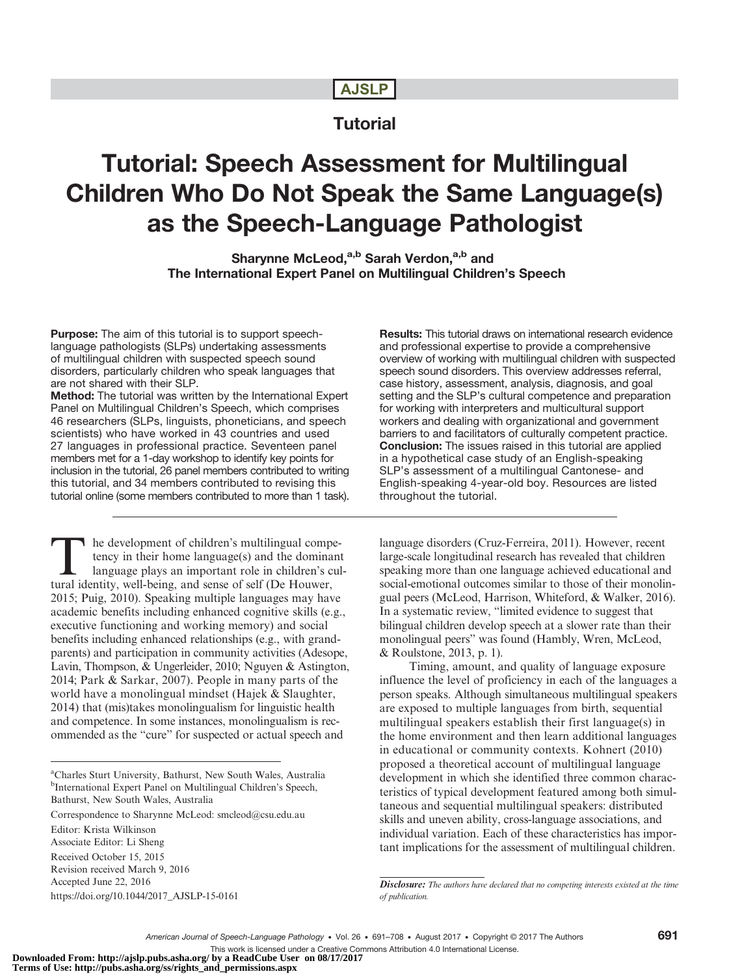# AJSLP

# **Tutorial**

# Tutorial: Speech Assessment for Multilingual Children Who Do Not Speak the Same Language(s) as the Speech-Language Pathologist

Sharynne McLeod,<sup>a,b</sup> Sarah Verdon,<sup>a,b</sup> and The International Expert Panel on Multilingual Children*'*s Speech

**Purpose:** The aim of this tutorial is to support speechlanguage pathologists (SLPs) undertaking assessments of multilingual children with suspected speech sound disorders, particularly children who speak languages that are not shared with their SLP. Method: The tutorial was written by the International Expert

Panel on Multilingual Children's Speech, which comprises 46 researchers (SLPs, linguists, phoneticians, and speech scientists) who have worked in 43 countries and used 27 languages in professional practice. Seventeen panel members met for a 1-day workshop to identify key points for inclusion in the tutorial, 26 panel members contributed to writing this tutorial, and 34 members contributed to revising this tutorial online (some members contributed to more than 1 task).

I he development of children's multilingual competency in their home language(s) and the dominant language plays an important role in children's cultural identity, well-being, and sense of self (De Houwer, 2015; Puig, 2010). Speaking multiple languages may have academic benefits including enhanced cognitive skills (e.g., executive functioning and working memory) and social benefits including enhanced relationships (e.g., with grandparents) and participation in community activities (Adesope, Lavin, Thompson, & Ungerleider, 2010; Nguyen & Astington, 2014; Park & Sarkar, 2007). People in many parts of the world have a monolingual mindset (Hajek & Slaughter, 2014) that (mis)takes monolingualism for linguistic health and competence. In some instances, monolingualism is recommended as the "cure" for suspected or actual speech and

Correspondence to Sharynne McLeod: smcleod@csu.edu.au

Received October 15, 2015 Revision received March 9, 2016

Accepted June 22, 2016

[https://doi.org/10.1044/2017\\_AJSLP-15-0161](https://doi.org/10.1044/2017_AJSLP-15-0161)

Results: This tutorial draws on international research evidence and professional expertise to provide a comprehensive overview of working with multilingual children with suspected speech sound disorders. This overview addresses referral, case history, assessment, analysis, diagnosis, and goal setting and the SLP's cultural competence and preparation for working with interpreters and multicultural support workers and dealing with organizational and government barriers to and facilitators of culturally competent practice. Conclusion: The issues raised in this tutorial are applied in a hypothetical case study of an English-speaking SLP's assessment of a multilingual Cantonese- and English-speaking 4-year-old boy. Resources are listed throughout the tutorial.

language disorders (Cruz-Ferreira, 2011). However, recent large-scale longitudinal research has revealed that children speaking more than one language achieved educational and social-emotional outcomes similar to those of their monolingual peers (McLeod, Harrison, Whiteford, & Walker, 2016). In a systematic review, "limited evidence to suggest that bilingual children develop speech at a slower rate than their monolingual peers" was found (Hambly, Wren, McLeod, & Roulstone, 2013, p. 1).

Timing, amount, and quality of language exposure influence the level of proficiency in each of the languages a person speaks. Although simultaneous multilingual speakers are exposed to multiple languages from birth, sequential multilingual speakers establish their first language(s) in the home environment and then learn additional languages in educational or community contexts. Kohnert (2010) proposed a theoretical account of multilingual language development in which she identified three common characteristics of typical development featured among both simultaneous and sequential multilingual speakers: distributed skills and uneven ability, cross-language associations, and individual variation. Each of these characteristics has important implications for the assessment of multilingual children.

a Charles Sturt University, Bathurst, New South Wales, Australia <sup>b</sup>International Expert Panel on Multilingual Children's Speech, Bathurst, New South Wales, Australia

Editor: Krista Wilkinson

Associate Editor: Li Sheng

Disclosure: The authors have declared that no competing interests existed at the time of publication.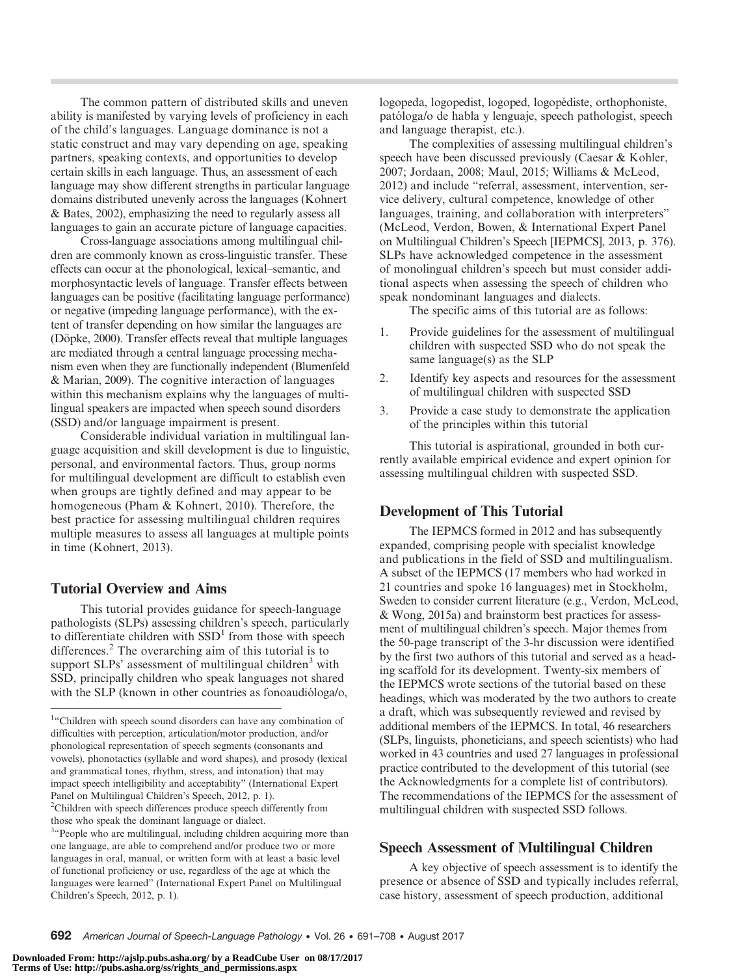The common pattern of distributed skills and uneven ability is manifested by varying levels of proficiency in each of the child's languages. Language dominance is not a static construct and may vary depending on age, speaking partners, speaking contexts, and opportunities to develop certain skills in each language. Thus, an assessment of each language may show different strengths in particular language domains distributed unevenly across the languages (Kohnert & Bates, 2002), emphasizing the need to regularly assess all languages to gain an accurate picture of language capacities.

Cross-language associations among multilingual children are commonly known as cross-linguistic transfer. These effects can occur at the phonological, lexical–semantic, and morphosyntactic levels of language. Transfer effects between languages can be positive (facilitating language performance) or negative (impeding language performance), with the extent of transfer depending on how similar the languages are (Döpke, 2000). Transfer effects reveal that multiple languages are mediated through a central language processing mechanism even when they are functionally independent (Blumenfeld & Marian, 2009). The cognitive interaction of languages within this mechanism explains why the languages of multilingual speakers are impacted when speech sound disorders (SSD) and/or language impairment is present.

Considerable individual variation in multilingual language acquisition and skill development is due to linguistic, personal, and environmental factors. Thus, group norms for multilingual development are difficult to establish even when groups are tightly defined and may appear to be homogeneous (Pham & Kohnert, 2010). Therefore, the best practice for assessing multilingual children requires multiple measures to assess all languages at multiple points in time (Kohnert, 2013).

## Tutorial Overview and Aims

This tutorial provides guidance for speech-language pathologists (SLPs) assessing children's speech, particularly to differentiate children with  $SSD<sup>1</sup>$  from those with speech differences. $<sup>2</sup>$  The overarching aim of this tutorial is to</sup> support SLPs' assessment of multilingual children<sup>3</sup> with SSD, principally children who speak languages not shared with the SLP (known in other countries as fonoaudióloga/o,

logopeda, logopedist, logoped, logopédiste, orthophoniste, patóloga/o de habla y lenguaje, speech pathologist, speech and language therapist, etc.).

The complexities of assessing multilingual children's speech have been discussed previously (Caesar & Kohler, 2007; Jordaan, 2008; Maul, 2015; Williams & McLeod, 2012) and include "referral, assessment, intervention, service delivery, cultural competence, knowledge of other languages, training, and collaboration with interpreters" (McLeod, Verdon, Bowen, & International Expert Panel on Multilingual Children's Speech [IEPMCS], 2013, p. 376). SLPs have acknowledged competence in the assessment of monolingual children's speech but must consider additional aspects when assessing the speech of children who speak nondominant languages and dialects.

The specific aims of this tutorial are as follows:

- 1. Provide guidelines for the assessment of multilingual children with suspected SSD who do not speak the same language(s) as the SLP
- 2. Identify key aspects and resources for the assessment of multilingual children with suspected SSD
- 3. Provide a case study to demonstrate the application of the principles within this tutorial

This tutorial is aspirational, grounded in both currently available empirical evidence and expert opinion for assessing multilingual children with suspected SSD.

# Development of This Tutorial

The IEPMCS formed in 2012 and has subsequently expanded, comprising people with specialist knowledge and publications in the field of SSD and multilingualism. A subset of the IEPMCS (17 members who had worked in 21 countries and spoke 16 languages) met in Stockholm, Sweden to consider current literature (e.g., Verdon, McLeod, & Wong, 2015a) and brainstorm best practices for assessment of multilingual children's speech. Major themes from the 50-page transcript of the 3-hr discussion were identified by the first two authors of this tutorial and served as a heading scaffold for its development. Twenty-six members of the IEPMCS wrote sections of the tutorial based on these headings, which was moderated by the two authors to create a draft, which was subsequently reviewed and revised by additional members of the IEPMCS. In total, 46 researchers (SLPs, linguists, phoneticians, and speech scientists) who had worked in 43 countries and used 27 languages in professional practice contributed to the development of this tutorial (see the Acknowledgments for a complete list of contributors). The recommendations of the IEPMCS for the assessment of multilingual children with suspected SSD follows.

## Speech Assessment of Multilingual Children

A key objective of speech assessment is to identify the presence or absence of SSD and typically includes referral, case history, assessment of speech production, additional

<sup>&</sup>lt;sup>1</sup>"Children with speech sound disorders can have any combination of difficulties with perception, articulation/motor production, and/or phonological representation of speech segments (consonants and vowels), phonotactics (syllable and word shapes), and prosody (lexical and grammatical tones, rhythm, stress, and intonation) that may impact speech intelligibility and acceptability" (International Expert Panel on Multilingual Children's Speech, 2012, p. 1). 2 Children with speech differences produce speech differently from

those who speak the dominant language or dialect.

<sup>&</sup>lt;sup>3</sup>"People who are multilingual, including children acquiring more than one language, are able to comprehend and/or produce two or more languages in oral, manual, or written form with at least a basic level of functional proficiency or use, regardless of the age at which the languages were learned" (International Expert Panel on Multilingual Children's Speech, 2012, p. 1).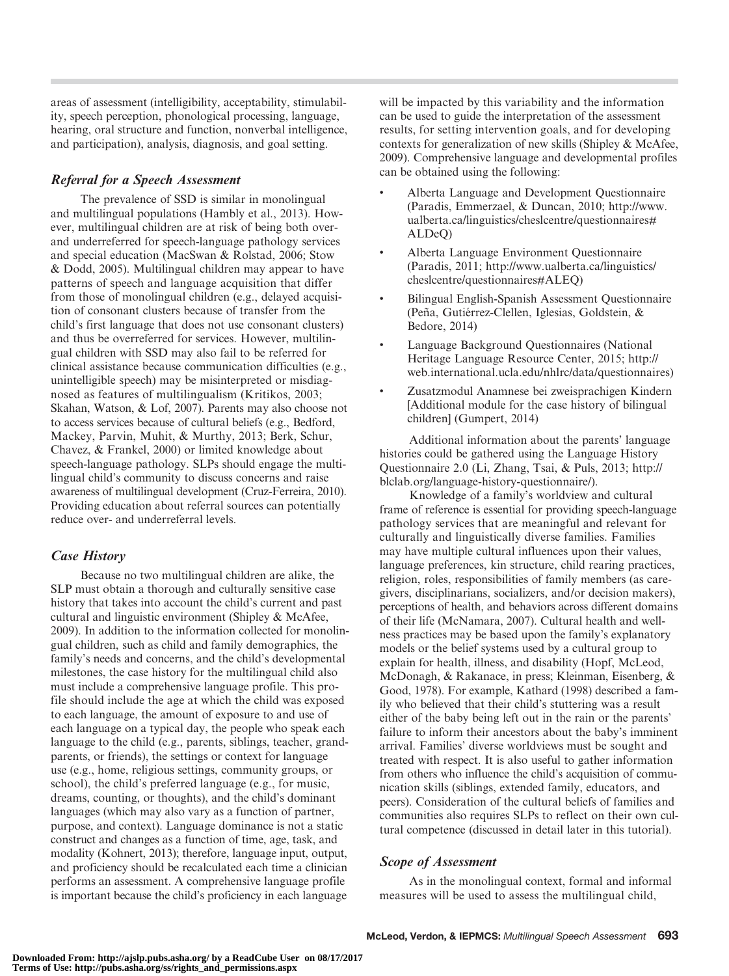areas of assessment (intelligibility, acceptability, stimulability, speech perception, phonological processing, language, hearing, oral structure and function, nonverbal intelligence, and participation), analysis, diagnosis, and goal setting.

## Referral for a Speech Assessment

The prevalence of SSD is similar in monolingual and multilingual populations (Hambly et al., 2013). However, multilingual children are at risk of being both overand underreferred for speech-language pathology services and special education (MacSwan & Rolstad, 2006; Stow & Dodd, 2005). Multilingual children may appear to have patterns of speech and language acquisition that differ from those of monolingual children (e.g., delayed acquisition of consonant clusters because of transfer from the child's first language that does not use consonant clusters) and thus be overreferred for services. However, multilingual children with SSD may also fail to be referred for clinical assistance because communication difficulties (e.g., unintelligible speech) may be misinterpreted or misdiagnosed as features of multilingualism (Kritikos, 2003; Skahan, Watson, & Lof, 2007). Parents may also choose not to access services because of cultural beliefs (e.g., Bedford, Mackey, Parvin, Muhit, & Murthy, 2013; Berk, Schur, Chavez, & Frankel, 2000) or limited knowledge about speech-language pathology. SLPs should engage the multilingual child's community to discuss concerns and raise awareness of multilingual development (Cruz-Ferreira, 2010). Providing education about referral sources can potentially reduce over- and underreferral levels.

## Case History

Because no two multilingual children are alike, the SLP must obtain a thorough and culturally sensitive case history that takes into account the child's current and past cultural and linguistic environment (Shipley & McAfee, 2009). In addition to the information collected for monolingual children, such as child and family demographics, the family's needs and concerns, and the child's developmental milestones, the case history for the multilingual child also must include a comprehensive language profile. This profile should include the age at which the child was exposed to each language, the amount of exposure to and use of each language on a typical day, the people who speak each language to the child (e.g., parents, siblings, teacher, grandparents, or friends), the settings or context for language use (e.g., home, religious settings, community groups, or school), the child's preferred language (e.g., for music, dreams, counting, or thoughts), and the child's dominant languages (which may also vary as a function of partner, purpose, and context). Language dominance is not a static construct and changes as a function of time, age, task, and modality (Kohnert, 2013); therefore, language input, output, and proficiency should be recalculated each time a clinician performs an assessment. A comprehensive language profile is important because the child's proficiency in each language

will be impacted by this variability and the information can be used to guide the interpretation of the assessment results, for setting intervention goals, and for developing contexts for generalization of new skills (Shipley & McAfee, 2009). Comprehensive language and developmental profiles can be obtained using the following:

- Alberta Language and Development Questionnaire (Paradis, Emmerzael, & Duncan, 2010; http://www. ualberta.ca/linguistics/cheslcentre/questionnaires# ALDeQ)
- Alberta Language Environment Questionnaire (Paradis, 2011; http://www.ualberta.ca/linguistics/ cheslcentre/questionnaires#ALEQ)
- Bilingual English-Spanish Assessment Questionnaire (Peña, Gutiérrez-Clellen, Iglesias, Goldstein, & Bedore, 2014)
- Language Background Questionnaires (National Heritage Language Resource Center, 2015; http:// web.international.ucla.edu/nhlrc/data/questionnaires)
- Zusatzmodul Anamnese bei zweisprachigen Kindern [Additional module for the case history of bilingual children] (Gumpert, 2014)

Additional information about the parents' language histories could be gathered using the Language History Questionnaire 2.0 (Li, Zhang, Tsai, & Puls, 2013; http:// blclab.org/language-history-questionnaire/).

Knowledge of a family's worldview and cultural frame of reference is essential for providing speech-language pathology services that are meaningful and relevant for culturally and linguistically diverse families. Families may have multiple cultural influences upon their values, language preferences, kin structure, child rearing practices, religion, roles, responsibilities of family members (as caregivers, disciplinarians, socializers, and/or decision makers), perceptions of health, and behaviors across different domains of their life (McNamara, 2007). Cultural health and wellness practices may be based upon the family's explanatory models or the belief systems used by a cultural group to explain for health, illness, and disability (Hopf, McLeod, McDonagh, & Rakanace, in press; Kleinman, Eisenberg, & Good, 1978). For example, Kathard (1998) described a family who believed that their child's stuttering was a result either of the baby being left out in the rain or the parents' failure to inform their ancestors about the baby's imminent arrival. Families' diverse worldviews must be sought and treated with respect. It is also useful to gather information from others who influence the child's acquisition of communication skills (siblings, extended family, educators, and peers). Consideration of the cultural beliefs of families and communities also requires SLPs to reflect on their own cultural competence (discussed in detail later in this tutorial).

## Scope of Assessment

As in the monolingual context, formal and informal measures will be used to assess the multilingual child,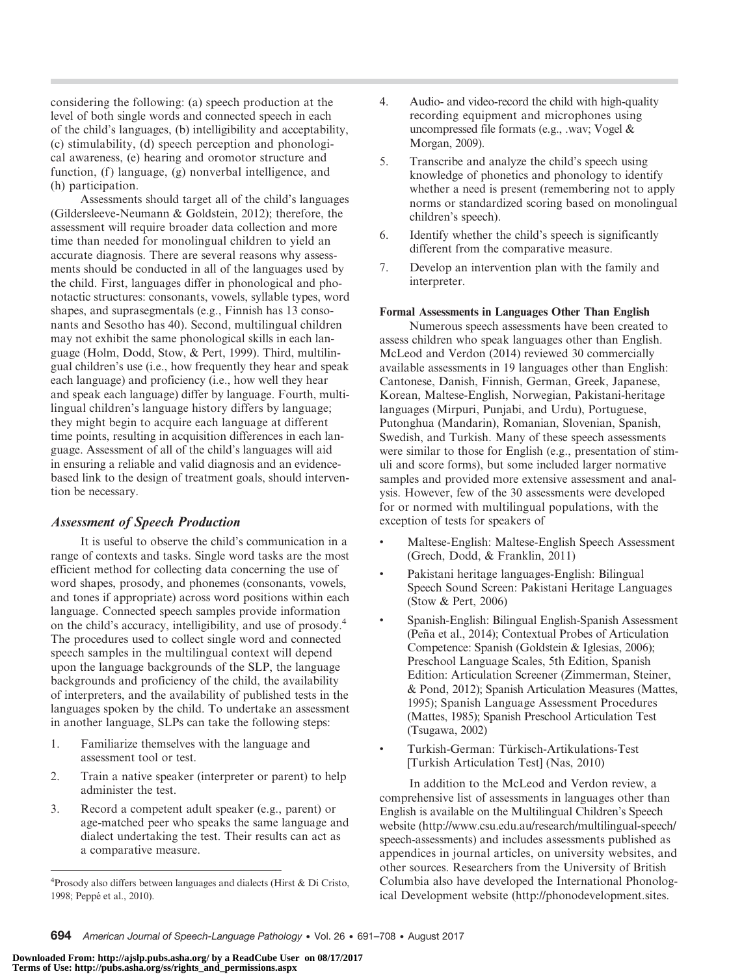considering the following: (a) speech production at the level of both single words and connected speech in each of the child's languages, (b) intelligibility and acceptability, (c) stimulability, (d) speech perception and phonological awareness, (e) hearing and oromotor structure and function,  $(f)$  language,  $(g)$  nonverbal intelligence, and (h) participation.

Assessments should target all of the child's languages (Gildersleeve-Neumann & Goldstein, 2012); therefore, the assessment will require broader data collection and more time than needed for monolingual children to yield an accurate diagnosis. There are several reasons why assessments should be conducted in all of the languages used by the child. First, languages differ in phonological and phonotactic structures: consonants, vowels, syllable types, word shapes, and suprasegmentals (e.g., Finnish has 13 consonants and Sesotho has 40). Second, multilingual children may not exhibit the same phonological skills in each language (Holm, Dodd, Stow, & Pert, 1999). Third, multilingual children's use (i.e., how frequently they hear and speak each language) and proficiency (i.e., how well they hear and speak each language) differ by language. Fourth, multilingual children's language history differs by language; they might begin to acquire each language at different time points, resulting in acquisition differences in each language. Assessment of all of the child's languages will aid in ensuring a reliable and valid diagnosis and an evidencebased link to the design of treatment goals, should intervention be necessary.

## Assessment of Speech Production

It is useful to observe the child's communication in a range of contexts and tasks. Single word tasks are the most efficient method for collecting data concerning the use of word shapes, prosody, and phonemes (consonants, vowels, and tones if appropriate) across word positions within each language. Connected speech samples provide information on the child's accuracy, intelligibility, and use of prosody.<sup>4</sup> The procedures used to collect single word and connected speech samples in the multilingual context will depend upon the language backgrounds of the SLP, the language backgrounds and proficiency of the child, the availability of interpreters, and the availability of published tests in the languages spoken by the child. To undertake an assessment in another language, SLPs can take the following steps:

- 1. Familiarize themselves with the language and assessment tool or test.
- 2. Train a native speaker (interpreter or parent) to help administer the test.
- 3. Record a competent adult speaker (e.g., parent) or age-matched peer who speaks the same language and dialect undertaking the test. Their results can act as a comparative measure.
- 4. Audio- and video-record the child with high-quality recording equipment and microphones using uncompressed file formats (e.g., .wav; Vogel & Morgan, 2009).
- 5. Transcribe and analyze the child's speech using knowledge of phonetics and phonology to identify whether a need is present (remembering not to apply norms or standardized scoring based on monolingual children's speech).
- 6. Identify whether the child's speech is significantly different from the comparative measure.
- 7. Develop an intervention plan with the family and interpreter.

#### Formal Assessments in Languages Other Than English

Numerous speech assessments have been created to assess children who speak languages other than English. McLeod and Verdon (2014) reviewed 30 commercially available assessments in 19 languages other than English: Cantonese, Danish, Finnish, German, Greek, Japanese, Korean, Maltese-English, Norwegian, Pakistani-heritage languages (Mirpuri, Punjabi, and Urdu), Portuguese, Putonghua (Mandarin), Romanian, Slovenian, Spanish, Swedish, and Turkish. Many of these speech assessments were similar to those for English (e.g., presentation of stimuli and score forms), but some included larger normative samples and provided more extensive assessment and analysis. However, few of the 30 assessments were developed for or normed with multilingual populations, with the exception of tests for speakers of

- Maltese-English: Maltese-English Speech Assessment (Grech, Dodd, & Franklin, 2011)
- Pakistani heritage languages-English: Bilingual Speech Sound Screen: Pakistani Heritage Languages (Stow & Pert, 2006)
- Spanish-English: Bilingual English-Spanish Assessment (Peña et al., 2014); Contextual Probes of Articulation Competence: Spanish (Goldstein & Iglesias, 2006); Preschool Language Scales, 5th Edition, Spanish Edition: Articulation Screener (Zimmerman, Steiner, & Pond, 2012); Spanish Articulation Measures (Mattes, 1995); Spanish Language Assessment Procedures (Mattes, 1985); Spanish Preschool Articulation Test (Tsugawa, 2002)
- Turkish-German: Türkisch-Artikulations-Test [Turkish Articulation Test] (Nas, 2010)

In addition to the McLeod and Verdon review, a comprehensive list of assessments in languages other than English is available on the Multilingual Children's Speech website (http://www.csu.edu.au/research/multilingual-speech/ speech-assessments) and includes assessments published as appendices in journal articles, on university websites, and other sources. Researchers from the University of British Columbia also have developed the International Phonological Development website (http://phonodevelopment.sites.

<sup>694</sup> American Journal of Speech-Language Pathology • Vol. 26 • <sup>691</sup>–<sup>708</sup> • August 2017

<sup>&</sup>lt;sup>4</sup>Prosody also differs between languages and dialects (Hirst & Di Cristo, 1998; Peppé et al., 2010).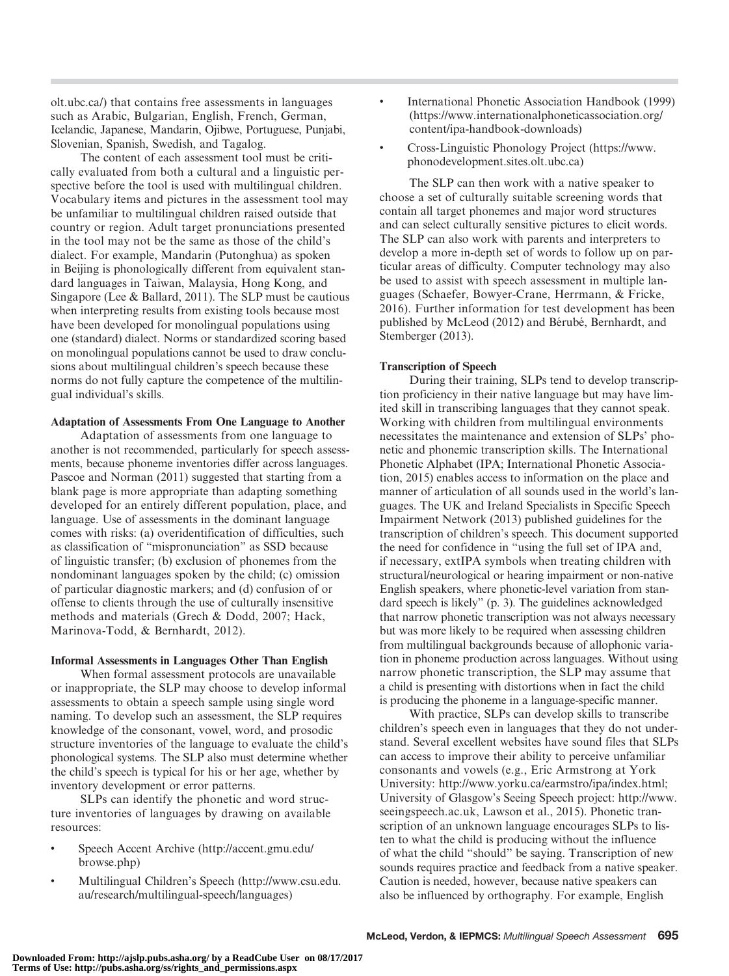olt.ubc.ca/) that contains free assessments in languages such as Arabic, Bulgarian, English, French, German, Icelandic, Japanese, Mandarin, Ojibwe, Portuguese, Punjabi, Slovenian, Spanish, Swedish, and Tagalog.

The content of each assessment tool must be critically evaluated from both a cultural and a linguistic perspective before the tool is used with multilingual children. Vocabulary items and pictures in the assessment tool may be unfamiliar to multilingual children raised outside that country or region. Adult target pronunciations presented in the tool may not be the same as those of the child's dialect. For example, Mandarin (Putonghua) as spoken in Beijing is phonologically different from equivalent standard languages in Taiwan, Malaysia, Hong Kong, and Singapore (Lee & Ballard, 2011). The SLP must be cautious when interpreting results from existing tools because most have been developed for monolingual populations using one (standard) dialect. Norms or standardized scoring based on monolingual populations cannot be used to draw conclusions about multilingual children's speech because these norms do not fully capture the competence of the multilingual individual's skills.

#### Adaptation of Assessments From One Language to Another

Adaptation of assessments from one language to another is not recommended, particularly for speech assessments, because phoneme inventories differ across languages. Pascoe and Norman (2011) suggested that starting from a blank page is more appropriate than adapting something developed for an entirely different population, place, and language. Use of assessments in the dominant language comes with risks: (a) overidentification of difficulties, such as classification of "mispronunciation" as SSD because of linguistic transfer; (b) exclusion of phonemes from the nondominant languages spoken by the child; (c) omission of particular diagnostic markers; and (d) confusion of or offense to clients through the use of culturally insensitive methods and materials (Grech & Dodd, 2007; Hack, Marinova-Todd, & Bernhardt, 2012).

## Informal Assessments in Languages Other Than English

When formal assessment protocols are unavailable or inappropriate, the SLP may choose to develop informal assessments to obtain a speech sample using single word naming. To develop such an assessment, the SLP requires knowledge of the consonant, vowel, word, and prosodic structure inventories of the language to evaluate the child's phonological systems. The SLP also must determine whether the child's speech is typical for his or her age, whether by inventory development or error patterns.

SLPs can identify the phonetic and word structure inventories of languages by drawing on available resources:

- Speech Accent Archive (http://accent.gmu.edu/ browse.php)
- Multilingual Children's Speech (http://www.csu.edu. au/research/multilingual-speech/languages)
- International Phonetic Association Handbook (1999) (https://www.internationalphoneticassociation.org/ content/ipa-handbook-downloads)
- Cross-Linguistic Phonology Project (https://www. phonodevelopment.sites.olt.ubc.ca)

The SLP can then work with a native speaker to choose a set of culturally suitable screening words that contain all target phonemes and major word structures and can select culturally sensitive pictures to elicit words. The SLP can also work with parents and interpreters to develop a more in-depth set of words to follow up on particular areas of difficulty. Computer technology may also be used to assist with speech assessment in multiple languages (Schaefer, Bowyer-Crane, Herrmann, & Fricke, 2016). Further information for test development has been published by McLeod (2012) and Bérubé, Bernhardt, and Stemberger (2013).

## Transcription of Speech

During their training, SLPs tend to develop transcription proficiency in their native language but may have limited skill in transcribing languages that they cannot speak. Working with children from multilingual environments necessitates the maintenance and extension of SLPs' phonetic and phonemic transcription skills. The International Phonetic Alphabet (IPA; International Phonetic Association, 2015) enables access to information on the place and manner of articulation of all sounds used in the world's languages. The UK and Ireland Specialists in Specific Speech Impairment Network (2013) published guidelines for the transcription of children's speech. This document supported the need for confidence in "using the full set of IPA and, if necessary, extIPA symbols when treating children with structural/neurological or hearing impairment or non-native English speakers, where phonetic-level variation from standard speech is likely" (p. 3). The guidelines acknowledged that narrow phonetic transcription was not always necessary but was more likely to be required when assessing children from multilingual backgrounds because of allophonic variation in phoneme production across languages. Without using narrow phonetic transcription, the SLP may assume that a child is presenting with distortions when in fact the child is producing the phoneme in a language-specific manner.

With practice, SLPs can develop skills to transcribe children's speech even in languages that they do not understand. Several excellent websites have sound files that SLPs can access to improve their ability to perceive unfamiliar consonants and vowels (e.g., Eric Armstrong at York University: http://www.yorku.ca/earmstro/ipa/index.html; University of Glasgow's Seeing Speech project: http://www. seeingspeech.ac.uk, Lawson et al., 2015). Phonetic transcription of an unknown language encourages SLPs to listen to what the child is producing without the influence of what the child "should" be saying. Transcription of new sounds requires practice and feedback from a native speaker. Caution is needed, however, because native speakers can also be influenced by orthography. For example, English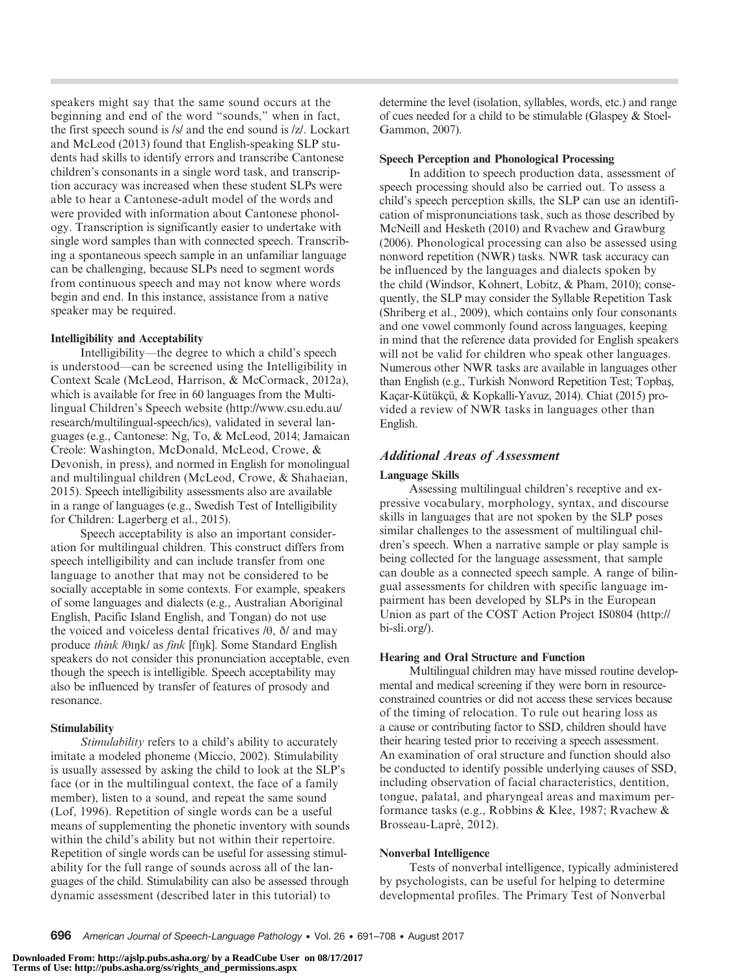speakers might say that the same sound occurs at the beginning and end of the word "sounds," when in fact, the first speech sound is /s/ and the end sound is /z/. Lockart and McLeod (2013) found that English-speaking SLP students had skills to identify errors and transcribe Cantonese children's consonants in a single word task, and transcription accuracy was increased when these student SLPs were able to hear a Cantonese-adult model of the words and were provided with information about Cantonese phonology. Transcription is significantly easier to undertake with single word samples than with connected speech. Transcribing a spontaneous speech sample in an unfamiliar language can be challenging, because SLPs need to segment words from continuous speech and may not know where words begin and end. In this instance, assistance from a native speaker may be required.

## Intelligibility and Acceptability

Intelligibility—the degree to which a child's speech is understood—can be screened using the Intelligibility in Context Scale (McLeod, Harrison, & McCormack, 2012a), which is available for free in 60 languages from the Multilingual Children's Speech website (http://www.csu.edu.au/ research/multilingual-speech/ics), validated in several languages (e.g., Cantonese: Ng, To, & McLeod, 2014; Jamaican Creole: Washington, McDonald, McLeod, Crowe, & Devonish, in press), and normed in English for monolingual and multilingual children (McLeod, Crowe, & Shahaeian, 2015). Speech intelligibility assessments also are available in a range of languages (e.g., Swedish Test of Intelligibility for Children: Lagerberg et al., 2015).

Speech acceptability is also an important consideration for multilingual children. This construct differs from speech intelligibility and can include transfer from one language to another that may not be considered to be socially acceptable in some contexts. For example, speakers of some languages and dialects (e.g., Australian Aboriginal English, Pacific Island English, and Tongan) do not use the voiced and voiceless dental fricatives /θ, ð/ and may produce think /θɪŋk/ as fink [fɪŋk]. Some Standard English speakers do not consider this pronunciation acceptable, even though the speech is intelligible. Speech acceptability may also be influenced by transfer of features of prosody and resonance.

#### Stimulability

Stimulability refers to a child's ability to accurately imitate a modeled phoneme (Miccio, 2002). Stimulability is usually assessed by asking the child to look at the SLP's face (or in the multilingual context, the face of a family member), listen to a sound, and repeat the same sound (Lof, 1996). Repetition of single words can be a useful means of supplementing the phonetic inventory with sounds within the child's ability but not within their repertoire. Repetition of single words can be useful for assessing stimulability for the full range of sounds across all of the languages of the child. Stimulability can also be assessed through dynamic assessment (described later in this tutorial) to

determine the level (isolation, syllables, words, etc.) and range of cues needed for a child to be stimulable (Glaspey & Stoel-Gammon, 2007).

#### Speech Perception and Phonological Processing

In addition to speech production data, assessment of speech processing should also be carried out. To assess a child's speech perception skills, the SLP can use an identification of mispronunciations task, such as those described by McNeill and Hesketh (2010) and Rvachew and Grawburg (2006). Phonological processing can also be assessed using nonword repetition (NWR) tasks. NWR task accuracy can be influenced by the languages and dialects spoken by the child (Windsor, Kohnert, Lobitz, & Pham, 2010); consequently, the SLP may consider the Syllable Repetition Task (Shriberg et al., 2009), which contains only four consonants and one vowel commonly found across languages, keeping in mind that the reference data provided for English speakers will not be valid for children who speak other languages. Numerous other NWR tasks are available in languages other than English (e.g., Turkish Nonword Repetition Test; Topbaş, Kaçar-Kütükçü, & Kopkalli-Yavuz, 2014). Chiat (2015) provided a review of NWR tasks in languages other than English.

## Additional Areas of Assessment

#### Language Skills

Assessing multilingual children's receptive and expressive vocabulary, morphology, syntax, and discourse skills in languages that are not spoken by the SLP poses similar challenges to the assessment of multilingual children's speech. When a narrative sample or play sample is being collected for the language assessment, that sample can double as a connected speech sample. A range of bilingual assessments for children with specific language impairment has been developed by SLPs in the European Union as part of the COST Action Project IS0804 (http:// bi-sli.org/).

#### Hearing and Oral Structure and Function

Multilingual children may have missed routine developmental and medical screening if they were born in resourceconstrained countries or did not access these services because of the timing of relocation. To rule out hearing loss as a cause or contributing factor to SSD, children should have their hearing tested prior to receiving a speech assessment. An examination of oral structure and function should also be conducted to identify possible underlying causes of SSD, including observation of facial characteristics, dentition, tongue, palatal, and pharyngeal areas and maximum performance tasks (e.g., Robbins & Klee, 1987; Rvachew & Brosseau-Lapré, 2012).

#### Nonverbal Intelligence

Tests of nonverbal intelligence, typically administered by psychologists, can be useful for helping to determine developmental profiles. The Primary Test of Nonverbal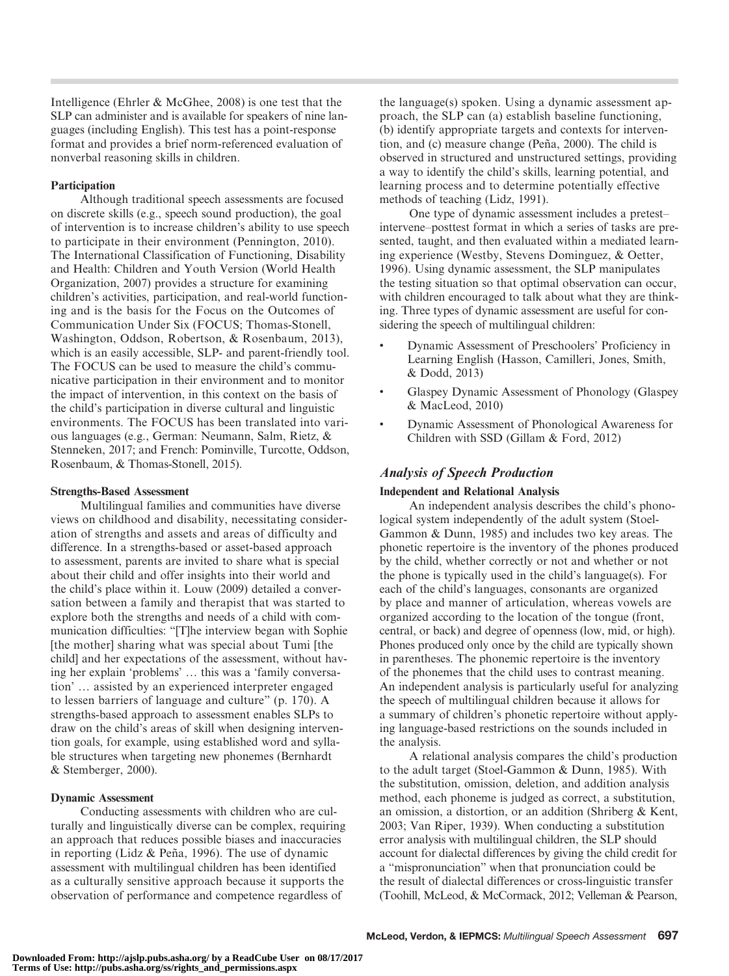Intelligence (Ehrler & McGhee, 2008) is one test that the SLP can administer and is available for speakers of nine languages (including English). This test has a point-response format and provides a brief norm-referenced evaluation of nonverbal reasoning skills in children.

## Participation

Although traditional speech assessments are focused on discrete skills (e.g., speech sound production), the goal of intervention is to increase children's ability to use speech to participate in their environment (Pennington, 2010). The International Classification of Functioning, Disability and Health: Children and Youth Version (World Health Organization, 2007) provides a structure for examining children's activities, participation, and real-world functioning and is the basis for the Focus on the Outcomes of Communication Under Six (FOCUS; Thomas-Stonell, Washington, Oddson, Robertson, & Rosenbaum, 2013), which is an easily accessible, SLP- and parent-friendly tool. The FOCUS can be used to measure the child's communicative participation in their environment and to monitor the impact of intervention, in this context on the basis of the child's participation in diverse cultural and linguistic environments. The FOCUS has been translated into various languages (e.g., German: Neumann, Salm, Rietz, & Stenneken, 2017; and French: Pominville, Turcotte, Oddson, Rosenbaum, & Thomas-Stonell, 2015).

## Strengths-Based Assessment

Multilingual families and communities have diverse views on childhood and disability, necessitating consideration of strengths and assets and areas of difficulty and difference. In a strengths-based or asset-based approach to assessment, parents are invited to share what is special about their child and offer insights into their world and the child's place within it. Louw (2009) detailed a conversation between a family and therapist that was started to explore both the strengths and needs of a child with communication difficulties: "[T]he interview began with Sophie [the mother] sharing what was special about Tumi [the child] and her expectations of the assessment, without having her explain 'problems' … this was a 'family conversation' … assisted by an experienced interpreter engaged to lessen barriers of language and culture" (p. 170). A strengths-based approach to assessment enables SLPs to draw on the child's areas of skill when designing intervention goals, for example, using established word and syllable structures when targeting new phonemes (Bernhardt & Stemberger, 2000).

## Dynamic Assessment

Conducting assessments with children who are culturally and linguistically diverse can be complex, requiring an approach that reduces possible biases and inaccuracies in reporting (Lidz & Peña, 1996). The use of dynamic assessment with multilingual children has been identified as a culturally sensitive approach because it supports the observation of performance and competence regardless of

the language(s) spoken. Using a dynamic assessment approach, the SLP can (a) establish baseline functioning, (b) identify appropriate targets and contexts for intervention, and (c) measure change (Peña, 2000). The child is observed in structured and unstructured settings, providing a way to identify the child's skills, learning potential, and learning process and to determine potentially effective methods of teaching (Lidz, 1991).

One type of dynamic assessment includes a pretest– intervene–posttest format in which a series of tasks are presented, taught, and then evaluated within a mediated learning experience (Westby, Stevens Dominguez, & Oetter, 1996). Using dynamic assessment, the SLP manipulates the testing situation so that optimal observation can occur, with children encouraged to talk about what they are thinking. Three types of dynamic assessment are useful for considering the speech of multilingual children:

- Dynamic Assessment of Preschoolers' Proficiency in Learning English (Hasson, Camilleri, Jones, Smith, & Dodd, 2013)
- Glaspey Dynamic Assessment of Phonology (Glaspey & MacLeod, 2010)
- Dynamic Assessment of Phonological Awareness for Children with SSD (Gillam & Ford, 2012)

## Analysis of Speech Production

## Independent and Relational Analysis

An independent analysis describes the child's phonological system independently of the adult system (Stoel-Gammon & Dunn, 1985) and includes two key areas. The phonetic repertoire is the inventory of the phones produced by the child, whether correctly or not and whether or not the phone is typically used in the child's language(s). For each of the child's languages, consonants are organized by place and manner of articulation, whereas vowels are organized according to the location of the tongue (front, central, or back) and degree of openness (low, mid, or high). Phones produced only once by the child are typically shown in parentheses. The phonemic repertoire is the inventory of the phonemes that the child uses to contrast meaning. An independent analysis is particularly useful for analyzing the speech of multilingual children because it allows for a summary of children's phonetic repertoire without applying language-based restrictions on the sounds included in the analysis.

A relational analysis compares the child's production to the adult target (Stoel-Gammon & Dunn, 1985). With the substitution, omission, deletion, and addition analysis method, each phoneme is judged as correct, a substitution, an omission, a distortion, or an addition (Shriberg & Kent, 2003; Van Riper, 1939). When conducting a substitution error analysis with multilingual children, the SLP should account for dialectal differences by giving the child credit for a "mispronunciation" when that pronunciation could be the result of dialectal differences or cross-linguistic transfer (Toohill, McLeod, & McCormack, 2012; Velleman & Pearson,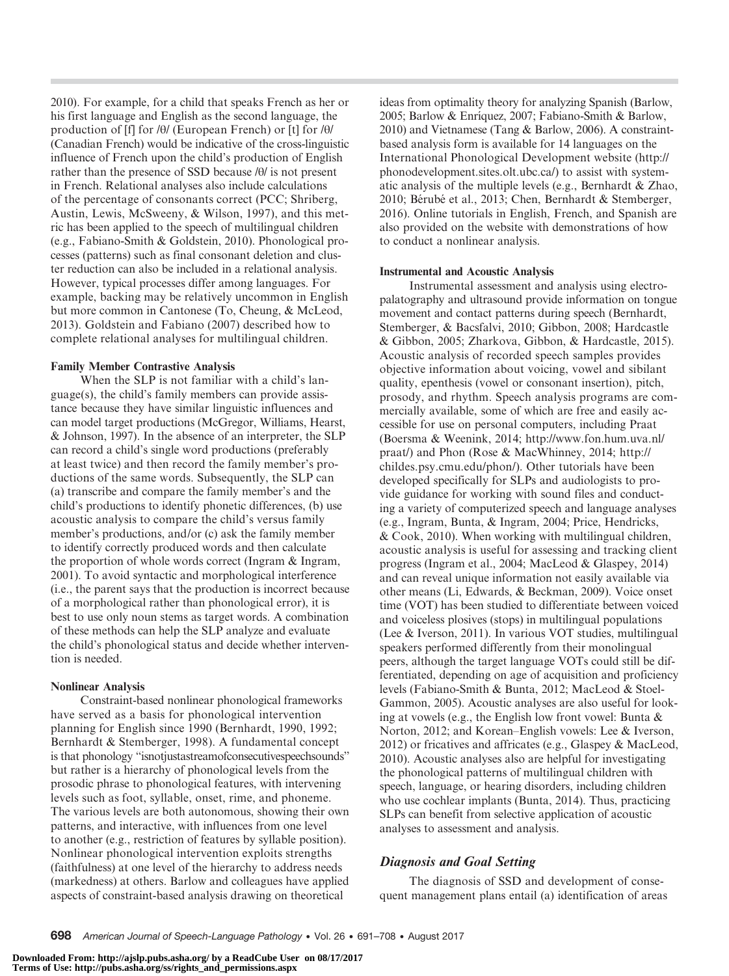2010). For example, for a child that speaks French as her or his first language and English as the second language, the production of [f] for /θ/ (European French) or [t] for /θ/ (Canadian French) would be indicative of the cross-linguistic influence of French upon the child's production of English rather than the presence of SSD because /θ/ is not present in French. Relational analyses also include calculations of the percentage of consonants correct (PCC; Shriberg, Austin, Lewis, McSweeny, & Wilson, 1997), and this metric has been applied to the speech of multilingual children (e.g., Fabiano-Smith & Goldstein, 2010). Phonological processes (patterns) such as final consonant deletion and cluster reduction can also be included in a relational analysis. However, typical processes differ among languages. For example, backing may be relatively uncommon in English but more common in Cantonese (To, Cheung, & McLeod, 2013). Goldstein and Fabiano (2007) described how to complete relational analyses for multilingual children.

## Family Member Contrastive Analysis

When the SLP is not familiar with a child's language(s), the child's family members can provide assistance because they have similar linguistic influences and can model target productions (McGregor, Williams, Hearst, & Johnson, 1997). In the absence of an interpreter, the SLP can record a child's single word productions (preferably at least twice) and then record the family member's productions of the same words. Subsequently, the SLP can (a) transcribe and compare the family member's and the child's productions to identify phonetic differences, (b) use acoustic analysis to compare the child's versus family member's productions, and/or (c) ask the family member to identify correctly produced words and then calculate the proportion of whole words correct (Ingram & Ingram, 2001). To avoid syntactic and morphological interference (i.e., the parent says that the production is incorrect because of a morphological rather than phonological error), it is best to use only noun stems as target words. A combination of these methods can help the SLP analyze and evaluate the child's phonological status and decide whether intervention is needed.

## Nonlinear Analysis

Constraint-based nonlinear phonological frameworks have served as a basis for phonological intervention planning for English since 1990 (Bernhardt, 1990, 1992; Bernhardt & Stemberger, 1998). A fundamental concept is that phonology "isnotjustastreamofconsecutivespeechsounds" but rather is a hierarchy of phonological levels from the prosodic phrase to phonological features, with intervening levels such as foot, syllable, onset, rime, and phoneme. The various levels are both autonomous, showing their own patterns, and interactive, with influences from one level to another (e.g., restriction of features by syllable position). Nonlinear phonological intervention exploits strengths (faithfulness) at one level of the hierarchy to address needs (markedness) at others. Barlow and colleagues have applied aspects of constraint-based analysis drawing on theoretical

ideas from optimality theory for analyzing Spanish (Barlow, 2005; Barlow & Enríquez, 2007; Fabiano-Smith & Barlow, 2010) and Vietnamese (Tang & Barlow, 2006). A constraintbased analysis form is available for 14 languages on the International Phonological Development website (http:// phonodevelopment.sites.olt.ubc.ca/) to assist with systematic analysis of the multiple levels (e.g., Bernhardt & Zhao, 2010; Bérubé et al., 2013; Chen, Bernhardt & Stemberger, 2016). Online tutorials in English, French, and Spanish are also provided on the website with demonstrations of how to conduct a nonlinear analysis.

## Instrumental and Acoustic Analysis

Instrumental assessment and analysis using electropalatography and ultrasound provide information on tongue movement and contact patterns during speech (Bernhardt, Stemberger, & Bacsfalvi, 2010; Gibbon, 2008; Hardcastle & Gibbon, 2005; Zharkova, Gibbon, & Hardcastle, 2015). Acoustic analysis of recorded speech samples provides objective information about voicing, vowel and sibilant quality, epenthesis (vowel or consonant insertion), pitch, prosody, and rhythm. Speech analysis programs are commercially available, some of which are free and easily accessible for use on personal computers, including Praat (Boersma & Weenink, 2014; http://www.fon.hum.uva.nl/ praat/) and Phon (Rose & MacWhinney, 2014; http:// childes.psy.cmu.edu/phon/). Other tutorials have been developed specifically for SLPs and audiologists to provide guidance for working with sound files and conducting a variety of computerized speech and language analyses (e.g., Ingram, Bunta, & Ingram, 2004; Price, Hendricks, & Cook, 2010). When working with multilingual children, acoustic analysis is useful for assessing and tracking client progress (Ingram et al., 2004; MacLeod & Glaspey, 2014) and can reveal unique information not easily available via other means (Li, Edwards, & Beckman, 2009). Voice onset time (VOT) has been studied to differentiate between voiced and voiceless plosives (stops) in multilingual populations (Lee & Iverson, 2011). In various VOT studies, multilingual speakers performed differently from their monolingual peers, although the target language VOTs could still be differentiated, depending on age of acquisition and proficiency levels (Fabiano-Smith & Bunta, 2012; MacLeod & Stoel-Gammon, 2005). Acoustic analyses are also useful for looking at vowels (e.g., the English low front vowel: Bunta & Norton, 2012; and Korean–English vowels: Lee & Iverson, 2012) or fricatives and affricates (e.g., Glaspey & MacLeod, 2010). Acoustic analyses also are helpful for investigating the phonological patterns of multilingual children with speech, language, or hearing disorders, including children who use cochlear implants (Bunta, 2014). Thus, practicing SLPs can benefit from selective application of acoustic analyses to assessment and analysis.

## Diagnosis and Goal Setting

The diagnosis of SSD and development of consequent management plans entail (a) identification of areas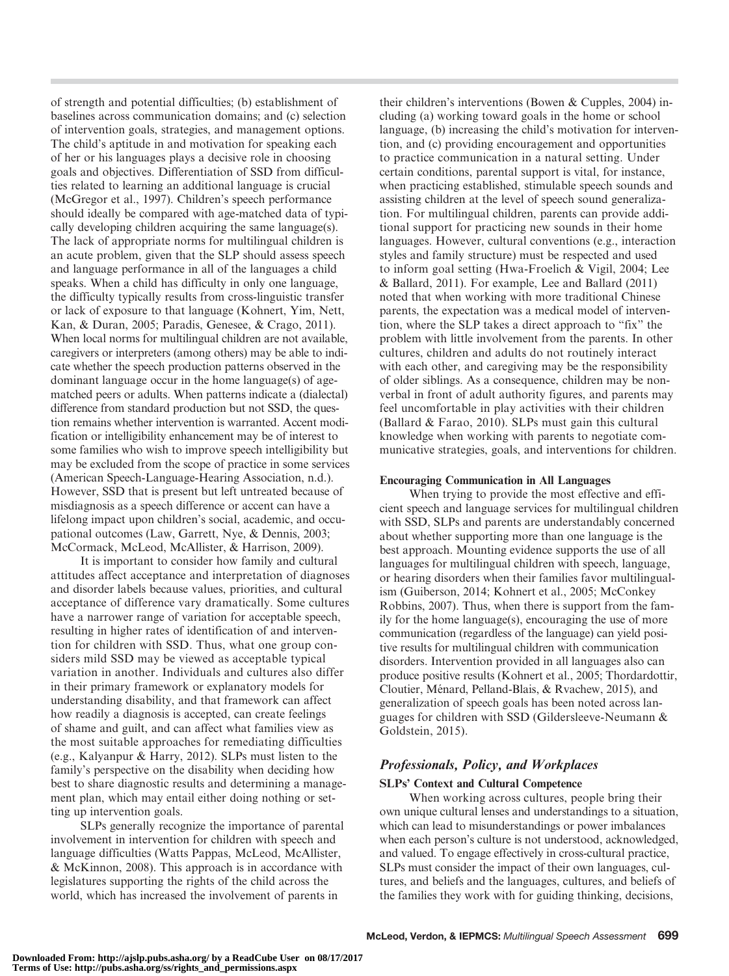of strength and potential difficulties; (b) establishment of baselines across communication domains; and (c) selection of intervention goals, strategies, and management options. The child's aptitude in and motivation for speaking each of her or his languages plays a decisive role in choosing goals and objectives. Differentiation of SSD from difficulties related to learning an additional language is crucial (McGregor et al., 1997). Children's speech performance should ideally be compared with age-matched data of typically developing children acquiring the same language(s). The lack of appropriate norms for multilingual children is an acute problem, given that the SLP should assess speech and language performance in all of the languages a child speaks. When a child has difficulty in only one language, the difficulty typically results from cross-linguistic transfer or lack of exposure to that language (Kohnert, Yim, Nett, Kan, & Duran, 2005; Paradis, Genesee, & Crago, 2011). When local norms for multilingual children are not available, caregivers or interpreters (among others) may be able to indicate whether the speech production patterns observed in the dominant language occur in the home language(s) of agematched peers or adults. When patterns indicate a (dialectal) difference from standard production but not SSD, the question remains whether intervention is warranted. Accent modification or intelligibility enhancement may be of interest to some families who wish to improve speech intelligibility but may be excluded from the scope of practice in some services (American Speech-Language-Hearing Association, n.d.). However, SSD that is present but left untreated because of misdiagnosis as a speech difference or accent can have a lifelong impact upon children's social, academic, and occupational outcomes (Law, Garrett, Nye, & Dennis, 2003; McCormack, McLeod, McAllister, & Harrison, 2009).

It is important to consider how family and cultural attitudes affect acceptance and interpretation of diagnoses and disorder labels because values, priorities, and cultural acceptance of difference vary dramatically. Some cultures have a narrower range of variation for acceptable speech, resulting in higher rates of identification of and intervention for children with SSD. Thus, what one group considers mild SSD may be viewed as acceptable typical variation in another. Individuals and cultures also differ in their primary framework or explanatory models for understanding disability, and that framework can affect how readily a diagnosis is accepted, can create feelings of shame and guilt, and can affect what families view as the most suitable approaches for remediating difficulties (e.g., Kalyanpur & Harry, 2012). SLPs must listen to the family's perspective on the disability when deciding how best to share diagnostic results and determining a management plan, which may entail either doing nothing or setting up intervention goals.

their children's interventions (Bowen & Cupples, 2004) including (a) working toward goals in the home or school language, (b) increasing the child's motivation for intervention, and (c) providing encouragement and opportunities to practice communication in a natural setting. Under certain conditions, parental support is vital, for instance, when practicing established, stimulable speech sounds and assisting children at the level of speech sound generalization. For multilingual children, parents can provide additional support for practicing new sounds in their home languages. However, cultural conventions (e.g., interaction styles and family structure) must be respected and used to inform goal setting (Hwa-Froelich & Vigil, 2004; Lee & Ballard, 2011). For example, Lee and Ballard (2011) noted that when working with more traditional Chinese parents, the expectation was a medical model of intervention, where the SLP takes a direct approach to "fix" the problem with little involvement from the parents. In other cultures, children and adults do not routinely interact with each other, and caregiving may be the responsibility of older siblings. As a consequence, children may be nonverbal in front of adult authority figures, and parents may feel uncomfortable in play activities with their children (Ballard & Farao, 2010). SLPs must gain this cultural knowledge when working with parents to negotiate communicative strategies, goals, and interventions for children.

## Encouraging Communication in All Languages

When trying to provide the most effective and efficient speech and language services for multilingual children with SSD, SLPs and parents are understandably concerned about whether supporting more than one language is the best approach. Mounting evidence supports the use of all languages for multilingual children with speech, language, or hearing disorders when their families favor multilingualism (Guiberson, 2014; Kohnert et al., 2005; McConkey Robbins, 2007). Thus, when there is support from the family for the home language(s), encouraging the use of more communication (regardless of the language) can yield positive results for multilingual children with communication disorders. Intervention provided in all languages also can produce positive results (Kohnert et al., 2005; Thordardottir, Cloutier, Ménard, Pelland-Blais, & Rvachew, 2015), and generalization of speech goals has been noted across languages for children with SSD (Gildersleeve-Neumann & Goldstein, 2015).

# Professionals, Policy, and Workplaces

## SLPs' Context and Cultural Competence

When working across cultures, people bring their own unique cultural lenses and understandings to a situation, which can lead to misunderstandings or power imbalances when each person's culture is not understood, acknowledged, and valued. To engage effectively in cross-cultural practice, SLPs must consider the impact of their own languages, cultures, and beliefs and the languages, cultures, and beliefs of the families they work with for guiding thinking, decisions,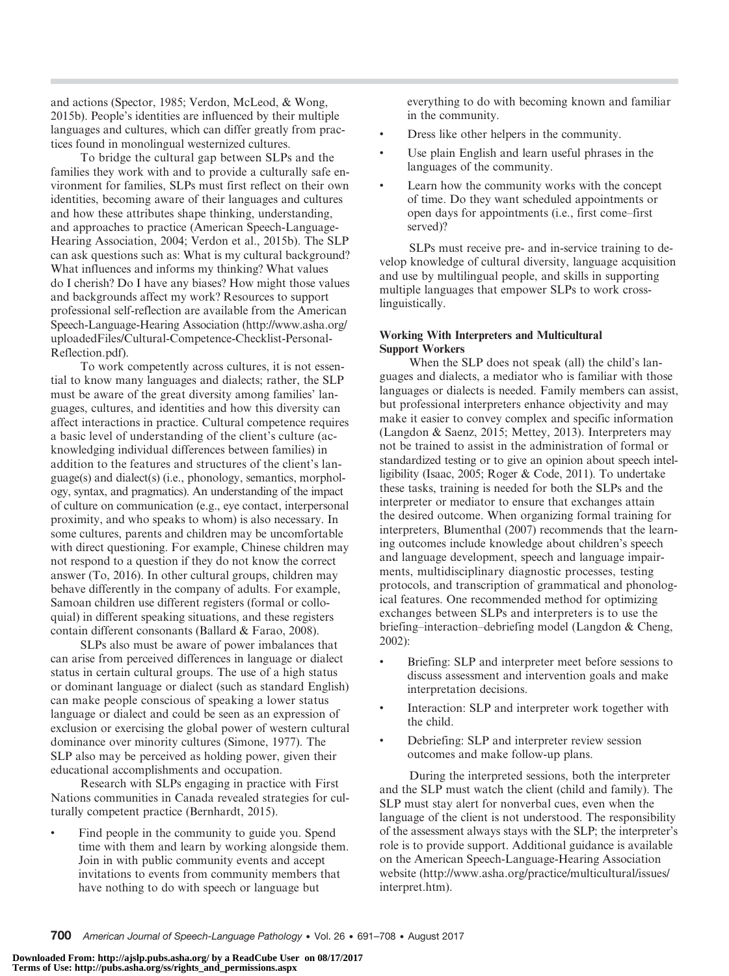and actions (Spector, 1985; Verdon, McLeod, & Wong, 2015b). People's identities are influenced by their multiple languages and cultures, which can differ greatly from practices found in monolingual westernized cultures.

To bridge the cultural gap between SLPs and the families they work with and to provide a culturally safe environment for families, SLPs must first reflect on their own identities, becoming aware of their languages and cultures and how these attributes shape thinking, understanding, and approaches to practice (American Speech-Language-Hearing Association, 2004; Verdon et al., 2015b). The SLP can ask questions such as: What is my cultural background? What influences and informs my thinking? What values do I cherish? Do I have any biases? How might those values and backgrounds affect my work? Resources to support professional self-reflection are available from the American Speech-Language-Hearing Association (http://www.asha.org/ uploadedFiles/Cultural-Competence-Checklist-Personal-Reflection.pdf).

To work competently across cultures, it is not essential to know many languages and dialects; rather, the SLP must be aware of the great diversity among families' languages, cultures, and identities and how this diversity can affect interactions in practice. Cultural competence requires a basic level of understanding of the client's culture (acknowledging individual differences between families) in addition to the features and structures of the client's language(s) and dialect(s) (i.e., phonology, semantics, morphology, syntax, and pragmatics). An understanding of the impact of culture on communication (e.g., eye contact, interpersonal proximity, and who speaks to whom) is also necessary. In some cultures, parents and children may be uncomfortable with direct questioning. For example, Chinese children may not respond to a question if they do not know the correct answer (To, 2016). In other cultural groups, children may behave differently in the company of adults. For example, Samoan children use different registers (formal or colloquial) in different speaking situations, and these registers contain different consonants (Ballard & Farao, 2008).

SLPs also must be aware of power imbalances that can arise from perceived differences in language or dialect status in certain cultural groups. The use of a high status or dominant language or dialect (such as standard English) can make people conscious of speaking a lower status language or dialect and could be seen as an expression of exclusion or exercising the global power of western cultural dominance over minority cultures (Simone, 1977). The SLP also may be perceived as holding power, given their educational accomplishments and occupation.

Research with SLPs engaging in practice with First Nations communities in Canada revealed strategies for culturally competent practice (Bernhardt, 2015).

Find people in the community to guide you. Spend time with them and learn by working alongside them. Join in with public community events and accept invitations to events from community members that have nothing to do with speech or language but

everything to do with becoming known and familiar in the community.

- Dress like other helpers in the community.
- Use plain English and learn useful phrases in the languages of the community.
- Learn how the community works with the concept of time. Do they want scheduled appointments or open days for appointments (i.e., first come–first served)?

SLPs must receive pre- and in-service training to develop knowledge of cultural diversity, language acquisition and use by multilingual people, and skills in supporting multiple languages that empower SLPs to work crosslinguistically.

## Working With Interpreters and Multicultural Support Workers

When the SLP does not speak (all) the child's languages and dialects, a mediator who is familiar with those languages or dialects is needed. Family members can assist, but professional interpreters enhance objectivity and may make it easier to convey complex and specific information (Langdon & Saenz, 2015; Mettey, 2013). Interpreters may not be trained to assist in the administration of formal or standardized testing or to give an opinion about speech intelligibility (Isaac, 2005; Roger & Code, 2011). To undertake these tasks, training is needed for both the SLPs and the interpreter or mediator to ensure that exchanges attain the desired outcome. When organizing formal training for interpreters, Blumenthal (2007) recommends that the learning outcomes include knowledge about children's speech and language development, speech and language impairments, multidisciplinary diagnostic processes, testing protocols, and transcription of grammatical and phonological features. One recommended method for optimizing exchanges between SLPs and interpreters is to use the briefing–interaction–debriefing model (Langdon & Cheng, 2002):

- Briefing: SLP and interpreter meet before sessions to discuss assessment and intervention goals and make interpretation decisions.
- Interaction: SLP and interpreter work together with the child.
- Debriefing: SLP and interpreter review session outcomes and make follow-up plans.

During the interpreted sessions, both the interpreter and the SLP must watch the client (child and family). The SLP must stay alert for nonverbal cues, even when the language of the client is not understood. The responsibility of the assessment always stays with the SLP; the interpreter's role is to provide support. Additional guidance is available on the American Speech-Language-Hearing Association website (http://www.asha.org/practice/multicultural/issues/ interpret.htm).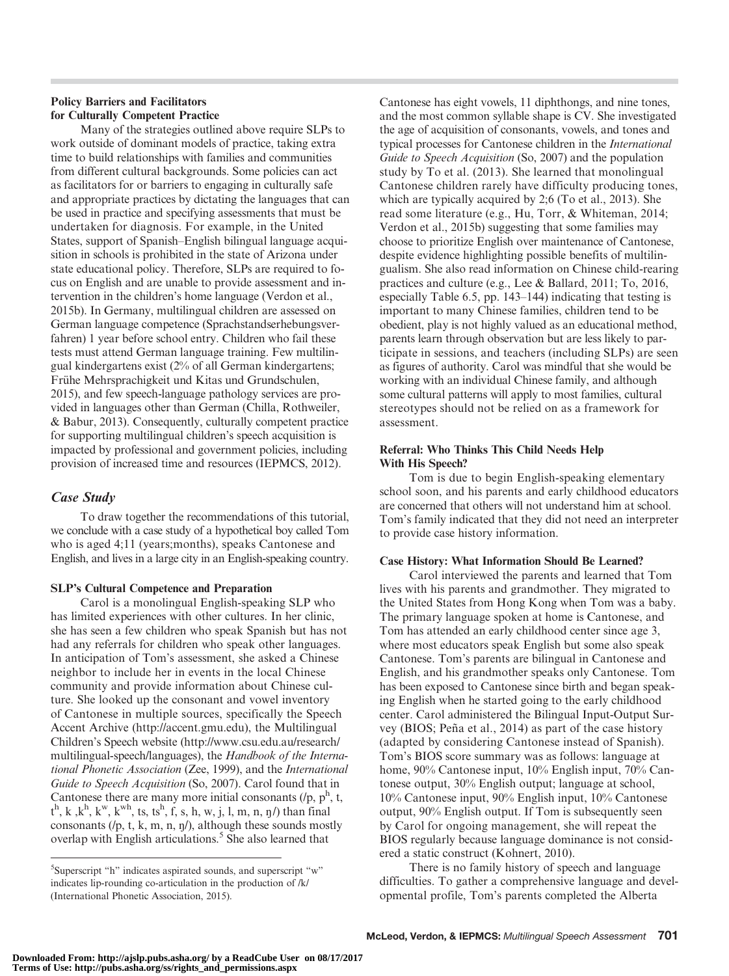## Policy Barriers and Facilitators for Culturally Competent Practice

Many of the strategies outlined above require SLPs to work outside of dominant models of practice, taking extra time to build relationships with families and communities from different cultural backgrounds. Some policies can act as facilitators for or barriers to engaging in culturally safe and appropriate practices by dictating the languages that can be used in practice and specifying assessments that must be undertaken for diagnosis. For example, in the United States, support of Spanish–English bilingual language acquisition in schools is prohibited in the state of Arizona under state educational policy. Therefore, SLPs are required to focus on English and are unable to provide assessment and intervention in the children's home language (Verdon et al., 2015b). In Germany, multilingual children are assessed on German language competence (Sprachstandserhebungsverfahren) 1 year before school entry. Children who fail these tests must attend German language training. Few multilingual kindergartens exist (2% of all German kindergartens; Frühe Mehrsprachigkeit und Kitas und Grundschulen, 2015), and few speech-language pathology services are provided in languages other than German (Chilla, Rothweiler, & Babur, 2013). Consequently, culturally competent practice for supporting multilingual children's speech acquisition is impacted by professional and government policies, including provision of increased time and resources (IEPMCS, 2012).

## Case Study

To draw together the recommendations of this tutorial, we conclude with a case study of a hypothetical boy called Tom who is aged 4;11 (years;months), speaks Cantonese and English, and lives in a large city in an English-speaking country.

## SLP's Cultural Competence and Preparation

Carol is a monolingual English-speaking SLP who has limited experiences with other cultures. In her clinic, she has seen a few children who speak Spanish but has not had any referrals for children who speak other languages. In anticipation of Tom's assessment, she asked a Chinese neighbor to include her in events in the local Chinese community and provide information about Chinese culture. She looked up the consonant and vowel inventory of Cantonese in multiple sources, specifically the Speech Accent Archive (http://accent.gmu.edu), the Multilingual Children's Speech website (http://www.csu.edu.au/research/ multilingual-speech/languages), the Handbook of the International Phonetic Association (Zee, 1999), and the International Guide to Speech Acquisition (So, 2007). Carol found that in Cantonese there are many more initial consonants  $(p, p^h, t,$  $t^{h}$ , k , k<sup>h</sup>, k<sup>w</sup>, k<sup>wh</sup>, ts, ts<sup>h</sup>, f, s, h, w, j, l, m, n, y/) than final consonants (/p, t, k, m, n, ŋ/), although these sounds mostly overlap with English articulations.<sup>5</sup> She also learned that

Cantonese has eight vowels, 11 diphthongs, and nine tones, and the most common syllable shape is CV. She investigated the age of acquisition of consonants, vowels, and tones and typical processes for Cantonese children in the International Guide to Speech Acquisition (So, 2007) and the population study by To et al. (2013). She learned that monolingual Cantonese children rarely have difficulty producing tones, which are typically acquired by 2;6 (To et al., 2013). She read some literature (e.g., Hu, Torr, & Whiteman, 2014; Verdon et al., 2015b) suggesting that some families may choose to prioritize English over maintenance of Cantonese, despite evidence highlighting possible benefits of multilingualism. She also read information on Chinese child-rearing practices and culture (e.g., Lee & Ballard, 2011; To, 2016, especially Table 6.5, pp. 143–144) indicating that testing is important to many Chinese families, children tend to be obedient, play is not highly valued as an educational method, parents learn through observation but are less likely to participate in sessions, and teachers (including SLPs) are seen as figures of authority. Carol was mindful that she would be working with an individual Chinese family, and although some cultural patterns will apply to most families, cultural stereotypes should not be relied on as a framework for assessment.

## Referral: Who Thinks This Child Needs Help With His Speech?

Tom is due to begin English-speaking elementary school soon, and his parents and early childhood educators are concerned that others will not understand him at school. Tom's family indicated that they did not need an interpreter to provide case history information.

## Case History: What Information Should Be Learned?

Carol interviewed the parents and learned that Tom lives with his parents and grandmother. They migrated to the United States from Hong Kong when Tom was a baby. The primary language spoken at home is Cantonese, and Tom has attended an early childhood center since age 3, where most educators speak English but some also speak Cantonese. Tom's parents are bilingual in Cantonese and English, and his grandmother speaks only Cantonese. Tom has been exposed to Cantonese since birth and began speaking English when he started going to the early childhood center. Carol administered the Bilingual Input-Output Survey (BIOS; Peña et al., 2014) as part of the case history (adapted by considering Cantonese instead of Spanish). Tom's BIOS score summary was as follows: language at home, 90% Cantonese input, 10% English input, 70% Cantonese output, 30% English output; language at school, 10% Cantonese input, 90% English input, 10% Cantonese output, 90% English output. If Tom is subsequently seen by Carol for ongoing management, she will repeat the BIOS regularly because language dominance is not considered a static construct (Kohnert, 2010).

There is no family history of speech and language difficulties. To gather a comprehensive language and developmental profile, Tom's parents completed the Alberta

<sup>5</sup> Superscript "h" indicates aspirated sounds, and superscript "w" indicates lip-rounding co-articulation in the production of /k/ (International Phonetic Association, 2015).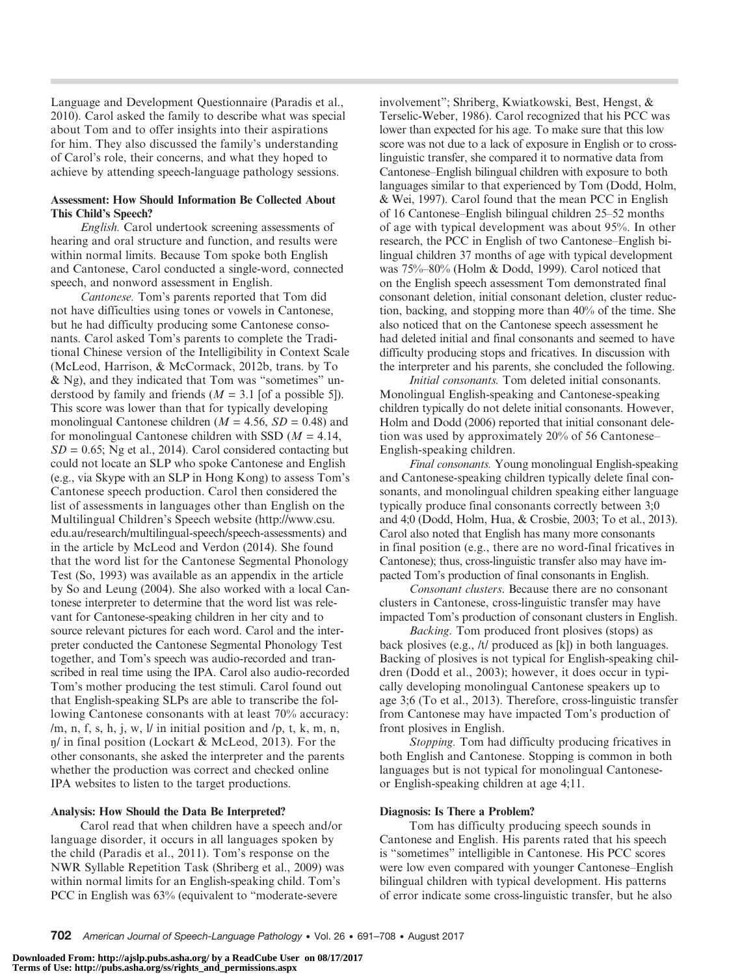Language and Development Questionnaire (Paradis et al., 2010). Carol asked the family to describe what was special about Tom and to offer insights into their aspirations for him. They also discussed the family's understanding of Carol's role, their concerns, and what they hoped to achieve by attending speech-language pathology sessions.

#### Assessment: How Should Information Be Collected About This Child's Speech?

English. Carol undertook screening assessments of hearing and oral structure and function, and results were within normal limits. Because Tom spoke both English and Cantonese, Carol conducted a single-word, connected speech, and nonword assessment in English.

Cantonese. Tom's parents reported that Tom did not have difficulties using tones or vowels in Cantonese, but he had difficulty producing some Cantonese consonants. Carol asked Tom's parents to complete the Traditional Chinese version of the Intelligibility in Context Scale (McLeod, Harrison, & McCormack, 2012b, trans. by To & Ng), and they indicated that Tom was "sometimes" understood by family and friends  $(M = 3.1$  [of a possible 5]). This score was lower than that for typically developing monolingual Cantonese children ( $M = 4.56$ ,  $SD = 0.48$ ) and for monolingual Cantonese children with SSD  $(M = 4.14,$  $SD = 0.65$ ; Ng et al., 2014). Carol considered contacting but could not locate an SLP who spoke Cantonese and English (e.g., via Skype with an SLP in Hong Kong) to assess Tom's Cantonese speech production. Carol then considered the list of assessments in languages other than English on the Multilingual Children's Speech website (http://www.csu. edu.au/research/multilingual-speech/speech-assessments) and in the article by McLeod and Verdon (2014). She found that the word list for the Cantonese Segmental Phonology Test (So, 1993) was available as an appendix in the article by So and Leung (2004). She also worked with a local Cantonese interpreter to determine that the word list was relevant for Cantonese-speaking children in her city and to source relevant pictures for each word. Carol and the interpreter conducted the Cantonese Segmental Phonology Test together, and Tom's speech was audio-recorded and transcribed in real time using the IPA. Carol also audio-recorded Tom's mother producing the test stimuli. Carol found out that English-speaking SLPs are able to transcribe the following Cantonese consonants with at least 70% accuracy: /m, n, f, s, h, j, w,  $1/$  in initial position and  $/p$ , t, k, m, n, ŋ/ in final position (Lockart & McLeod, 2013). For the other consonants, she asked the interpreter and the parents whether the production was correct and checked online IPA websites to listen to the target productions.

#### Analysis: How Should the Data Be Interpreted?

Carol read that when children have a speech and/or language disorder, it occurs in all languages spoken by the child (Paradis et al., 2011). Tom's response on the NWR Syllable Repetition Task (Shriberg et al., 2009) was within normal limits for an English-speaking child. Tom's PCC in English was 63% (equivalent to "moderate-severe

involvement"; Shriberg, Kwiatkowski, Best, Hengst, & Terselic-Weber, 1986). Carol recognized that his PCC was lower than expected for his age. To make sure that this low score was not due to a lack of exposure in English or to crosslinguistic transfer, she compared it to normative data from Cantonese–English bilingual children with exposure to both languages similar to that experienced by Tom (Dodd, Holm, & Wei, 1997). Carol found that the mean PCC in English of 16 Cantonese–English bilingual children 25–52 months of age with typical development was about 95%. In other research, the PCC in English of two Cantonese–English bilingual children 37 months of age with typical development was 75%–80% (Holm & Dodd, 1999). Carol noticed that on the English speech assessment Tom demonstrated final consonant deletion, initial consonant deletion, cluster reduction, backing, and stopping more than 40% of the time. She also noticed that on the Cantonese speech assessment he had deleted initial and final consonants and seemed to have difficulty producing stops and fricatives. In discussion with the interpreter and his parents, she concluded the following.

Initial consonants. Tom deleted initial consonants. Monolingual English-speaking and Cantonese-speaking children typically do not delete initial consonants. However, Holm and Dodd (2006) reported that initial consonant deletion was used by approximately 20% of 56 Cantonese– English-speaking children.

Final consonants. Young monolingual English-speaking and Cantonese-speaking children typically delete final consonants, and monolingual children speaking either language typically produce final consonants correctly between 3;0 and 4;0 (Dodd, Holm, Hua, & Crosbie, 2003; To et al., 2013). Carol also noted that English has many more consonants in final position (e.g., there are no word-final fricatives in Cantonese); thus, cross-linguistic transfer also may have impacted Tom's production of final consonants in English.

Consonant clusters. Because there are no consonant clusters in Cantonese, cross-linguistic transfer may have impacted Tom's production of consonant clusters in English.

Backing. Tom produced front plosives (stops) as back plosives (e.g., /t/ produced as [k]) in both languages. Backing of plosives is not typical for English-speaking children (Dodd et al., 2003); however, it does occur in typically developing monolingual Cantonese speakers up to age 3;6 (To et al., 2013). Therefore, cross-linguistic transfer from Cantonese may have impacted Tom's production of front plosives in English.

Stopping. Tom had difficulty producing fricatives in both English and Cantonese. Stopping is common in both languages but is not typical for monolingual Cantoneseor English-speaking children at age 4;11.

#### Diagnosis: Is There a Problem?

Tom has difficulty producing speech sounds in Cantonese and English. His parents rated that his speech is "sometimes" intelligible in Cantonese. His PCC scores were low even compared with younger Cantonese–English bilingual children with typical development. His patterns of error indicate some cross-linguistic transfer, but he also

<sup>702</sup> American Journal of Speech-Language Pathology • Vol. 26 • <sup>691</sup>–<sup>708</sup> • August 2017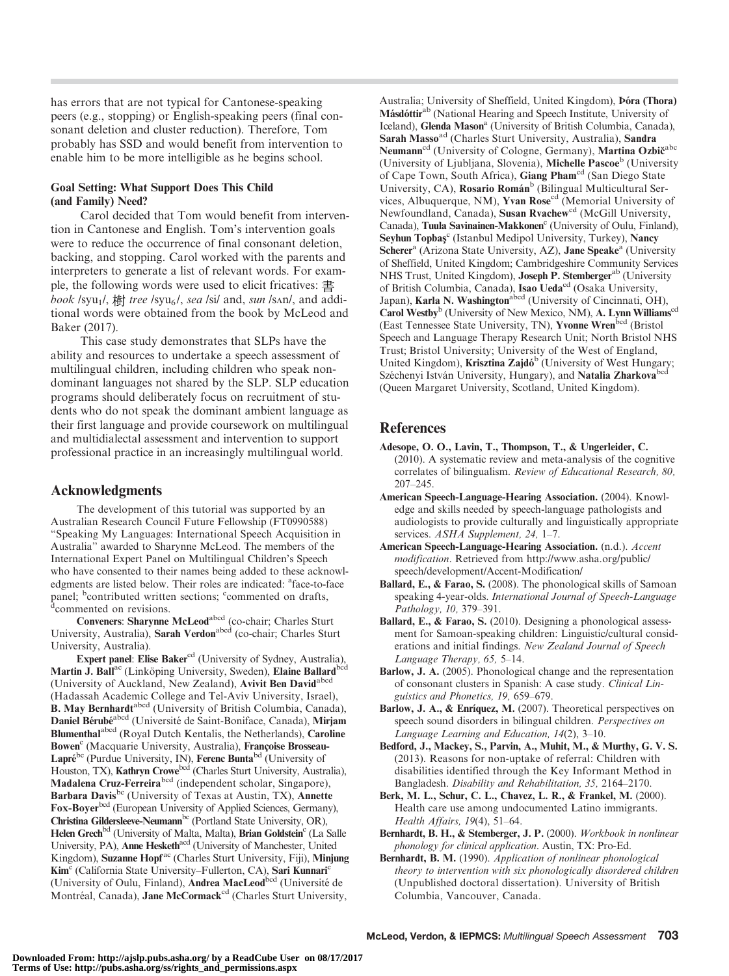has errors that are not typical for Cantonese-speaking peers (e.g., stopping) or English-speaking peers (final consonant deletion and cluster reduction). Therefore, Tom probably has SSD and would benefit from intervention to enable him to be more intelligible as he begins school.

## Goal Setting: What Support Does This Child (and Family) Need?

Carol decided that Tom would benefit from intervention in Cantonese and English. Tom's intervention goals were to reduce the occurrence of final consonant deletion, backing, and stopping. Carol worked with the parents and interpreters to generate a list of relevant words. For example, the following words were used to elicit fricatives: book /syu<sub>1</sub>/, 椅 tree /syu<sub>6</sub>/, sea /si/ and, sun /sʌn/, and additional words were obtained from the book by McLeod and Baker (2017).

This case study demonstrates that SLPs have the ability and resources to undertake a speech assessment of multilingual children, including children who speak nondominant languages not shared by the SLP. SLP education programs should deliberately focus on recruitment of students who do not speak the dominant ambient language as their first language and provide coursework on multilingual and multidialectal assessment and intervention to support professional practice in an increasingly multilingual world.

## Acknowledgments

The development of this tutorial was supported by an Australian Research Council Future Fellowship (FT0990588) "Speaking My Languages: International Speech Acquisition in Australia" awarded to Sharynne McLeod. The members of the International Expert Panel on Multilingual Children's Speech who have consented to their names being added to these acknowledgments are listed below. Their roles are indicated: <sup>a</sup>face-to-face panel; <sup>b</sup>contributed written sections; <sup>c</sup>commented on drafts, <sup>d</sup>commented on revisions.

Conveners: Sharynne McLeod<sup>abcd</sup> (co-chair; Charles Sturt University, Australia), Sarah Verdon<sup>abcd</sup> (co-chair; Charles Sturt University, Australia).

Expert panel: Elise Baker<sup>cd</sup> (University of Sydney, Australia), Martin J. Ball<sup>ac</sup> (Linköping University, Sweden), Elaine Ballard<sup>b</sup> (University of Auckland, New Zealand), Avivit Ben David<sup>abcd</sup> (Hadassah Academic College and Tel-Aviv University, Israel),  $\mathbf{\hat{B}}$ . May Bernhardt<sup>abcd</sup> (University of British Columbia, Canada), Daniel Bérubé<sup>abcd</sup> (Université de Saint-Boniface, Canada), Mirjam Blumenthal<sup>abcd</sup> (Royal Dutch Kentalis, the Netherlands), Caroline Bowen<sup>c</sup> (Macquarie University, Australia), Françoise Brosseau-Lapré<sup>bc</sup> (Purdue University, IN), Ferenc Bunta<sup>bd</sup> (University of Houston, TX), Kathryn Crowe<sup>bcd</sup> (Charles Sturt University, Australia), Madalena Cruz-Ferreira<sup>bcd</sup> (independent scholar, Singapore), Barbara Davis<sup>bc</sup> (University of Texas at Austin, TX), Annette Fox-Boyer<sup>bcd</sup> (European University of Applied Sciences, Germany), Christina Gildersleeve-Neumann<sup>bc</sup> (Portland State University, OR), Helen Grech<sup>bd</sup> (University of Malta, Malta), Brian Goldstein<sup>c</sup> (La Salle University, PA), Anne Hesketh<sup>acd</sup> (University of Manchester, United Kingdom), Suzanne Hopf<sup>ac</sup> (Charles Sturt University, Fiji), Minjung Kim<sup>c</sup> (California State University–Fullerton, CA), Sari Kunnari<sup>c</sup> (University of Oulu, Finland), Andrea MacLeod<sup>bcd</sup> (Université de Montréal, Canada), Jane McCormack<sup>cd</sup> (Charles Sturt University,

Australia; University of Sheffield, United Kingdom), Þóra (Thora) Másdóttir<sup>ab</sup> (National Hearing and Speech Institute, University of Iceland), Glenda Mason<sup>a</sup> (University of British Columbia, Canada), Sarah Masso<sup>ad</sup> (Charles Sturt University, Australia), Sandra Neumann<sup>cd</sup> (University of Cologne, Germany), Martina Ozbič<sup>abc</sup> (University of Ljubljana, Slovenia), Michelle Pascoe<sup>b</sup> (University of Cape Town, South Africa), Giang Pham<sup>cd</sup> (San Diego State University, CA), Rosario Román<sup>b</sup> (Bilingual Multicultural Services, Albuquerque, NM), Yvan Rose<sup>cd</sup> (Memorial University of Newfoundland, Canada), Susan Rvachew<sup>cd</sup> (McGill University, Canada), Tuula Savinainen-Makkonen<sup>c</sup> (University of Oulu, Finland), Seyhun Topbaş<sup>c</sup> (Istanbul Medipol University, Turkey), Nancy Scherer<sup>a</sup> (Arizona State University, AZ), Jane Speake<sup>a</sup> (University of Sheffield, United Kingdom; Cambridgeshire Community Services NHS Trust, United Kingdom), Joseph P. Stemberger<sup>ab</sup> (University of British Columbia, Canada), Isao Ueda<sup>cd</sup> (Osaka University, Japan), Karla N. Washington<sup>abed</sup> (University of Cincinnati, OH), Carol Westby<sup>b</sup> (University of New Mexico, NM), A. Lynn Williams<sup>cd</sup> (East Tennessee State University, TN), Yvonne Wren<sup>bcd</sup> (Bristol Speech and Language Therapy Research Unit; North Bristol NHS Trust; Bristol University; University of the West of England, United Kingdom), Krisztina Zajdó<sup>b</sup> (University of West Hungary; Széchenyi István University, Hungary), and Natalia Zharkova<sup>bed</sup> (Queen Margaret University, Scotland, United Kingdom).

# References

- Adesope, O. O., Lavin, T., Thompson, T., & Ungerleider, C. (2010). A systematic review and meta-analysis of the cognitive correlates of bilingualism. Review of Educational Research, 80, 207–245.
- American Speech-Language-Hearing Association. (2004). Knowledge and skills needed by speech-language pathologists and audiologists to provide culturally and linguistically appropriate services. ASHA Supplement, 24, 1-7.

American Speech-Language-Hearing Association. (n.d.). Accent modification. Retrieved from http://www.asha.org/public/ speech/development/Accent-Modification/

- Ballard, E., & Farao, S. (2008). The phonological skills of Samoan speaking 4-year-olds. International Journal of Speech-Language Pathology, 10, 379–391.
- Ballard, E., & Farao, S. (2010). Designing a phonological assessment for Samoan-speaking children: Linguistic/cultural considerations and initial findings. New Zealand Journal of Speech Language Therapy, 65, 5–14.
- Barlow, J. A. (2005). Phonological change and the representation of consonant clusters in Spanish: A case study. Clinical Linguistics and Phonetics, 19, 659–679.
- Barlow, J. A., & Enríquez, M. (2007). Theoretical perspectives on speech sound disorders in bilingual children. Perspectives on Language Learning and Education, 14(2), 3–10.

Bedford, J., Mackey, S., Parvin, A., Muhit, M., & Murthy, G. V. S. (2013). Reasons for non-uptake of referral: Children with disabilities identified through the Key Informant Method in Bangladesh. Disability and Rehabilitation, 35, 2164–2170.

- Berk, M. L., Schur, C. L., Chavez, L. R., & Frankel, M. (2000). Health care use among undocumented Latino immigrants. Health Affairs, 19(4), 51–64.
- Bernhardt, B. H., & Stemberger, J. P. (2000). Workbook in nonlinear phonology for clinical application. Austin, TX: Pro-Ed.
- Bernhardt, B. M. (1990). Application of nonlinear phonological theory to intervention with six phonologically disordered children (Unpublished doctoral dissertation). University of British Columbia, Vancouver, Canada.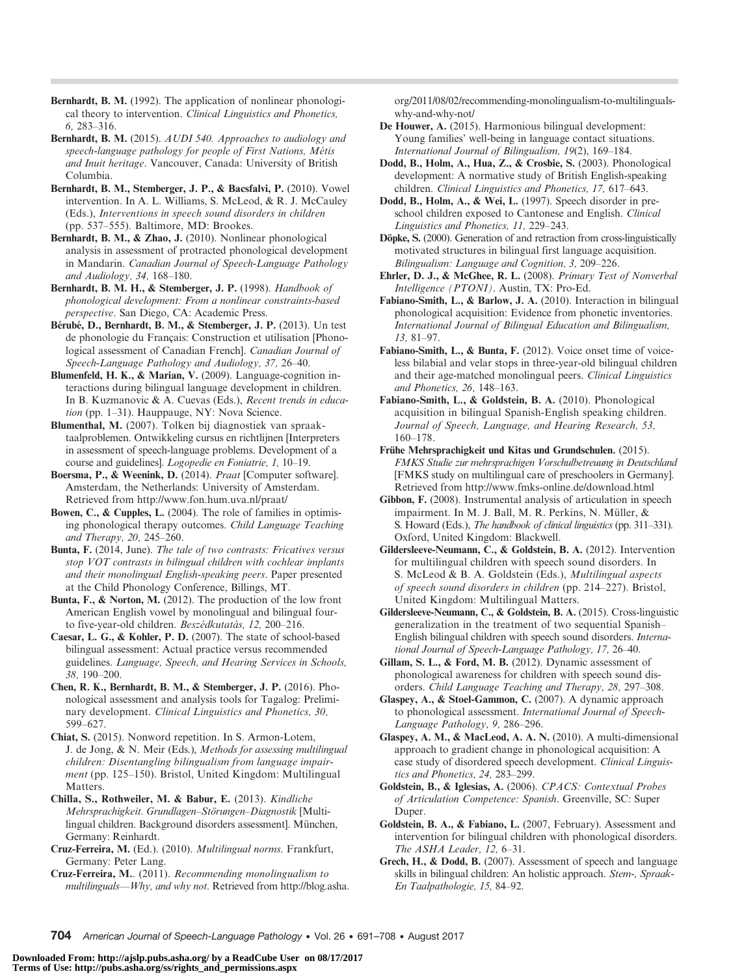- Bernhardt, B. M. (1992). The application of nonlinear phonological theory to intervention. Clinical Linguistics and Phonetics, 6, 283–316.
- Bernhardt, B. M. (2015). AUDI 540. Approaches to audiology and speech-language pathology for people of First Nations, Métis and Inuit heritage. Vancouver, Canada: University of British Columbia.
- Bernhardt, B. M., Stemberger, J. P., & Bacsfalvi, P. (2010). Vowel intervention. In A. L. Williams, S. McLeod, & R. J. McCauley (Eds.), Interventions in speech sound disorders in children (pp. 537–555). Baltimore, MD: Brookes.
- Bernhardt, B. M., & Zhao, J. (2010). Nonlinear phonological analysis in assessment of protracted phonological development in Mandarin. Canadian Journal of Speech-Language Pathology and Audiology, 34, 168–180.
- Bernhardt, B. M. H., & Stemberger, J. P. (1998). Handbook of phonological development: From a nonlinear constraints-based perspective. San Diego, CA: Academic Press.
- Bérubé, D., Bernhardt, B. M., & Stemberger, J. P. (2013). Un test de phonologie du Français: Construction et utilisation [Phonological assessment of Canadian French]. Canadian Journal of Speech-Language Pathology and Audiology, 37, 26–40.
- Blumenfeld, H. K., & Marian, V. (2009). Language-cognition interactions during bilingual language development in children. In B. Kuzmanovic & A. Cuevas (Eds.), Recent trends in education (pp. 1–31). Hauppauge, NY: Nova Science.
- Blumenthal, M. (2007). Tolken bij diagnostiek van spraaktaalproblemen. Ontwikkeling cursus en richtlijnen [Interpreters in assessment of speech-language problems. Development of a course and guidelines]. Logopedie en Foniatrie, 1, 10–19.
- Boersma, P., & Weenink, D. (2014). Praat [Computer software]. Amsterdam, the Netherlands: University of Amsterdam. Retrieved from http://www.fon.hum.uva.nl/praat/
- Bowen, C., & Cupples, L. (2004). The role of families in optimising phonological therapy outcomes. Child Language Teaching and Therapy, 20, 245–260.
- Bunta, F. (2014, June). The tale of two contrasts: Fricatives versus stop VOT contrasts in bilingual children with cochlear implants and their monolingual English-speaking peers. Paper presented at the Child Phonology Conference, Billings, MT.
- Bunta, F., & Norton, M. (2012). The production of the low front American English vowel by monolingual and bilingual fourto five-year-old children. Beszédkutatás, 12, 200–216.
- Caesar, L. G., & Kohler, P. D. (2007). The state of school-based bilingual assessment: Actual practice versus recommended guidelines. Language, Speech, and Hearing Services in Schools, 38, 190–200.
- Chen, R. K., Bernhardt, B. M., & Stemberger, J. P. (2016). Phonological assessment and analysis tools for Tagalog: Preliminary development. Clinical Linguistics and Phonetics, 30, 599–627.
- Chiat, S. (2015). Nonword repetition. In S. Armon-Lotem, J. de Jong, & N. Meir (Eds.), Methods for assessing multilingual children: Disentangling bilingualism from language impairment (pp. 125–150). Bristol, United Kingdom: Multilingual Matters.
- Chilla, S., Rothweiler, M. & Babur, E. (2013). Kindliche Mehrsprachigkeit. Grundlagen–Störungen–Diagnostik [Multilingual children. Background disorders assessment]. München, Germany: Reinhardt.
- Cruz-Ferreira, M. (Ed.). (2010). Multilingual norms. Frankfurt, Germany: Peter Lang.
- Cruz-Ferreira, M.. (2011). Recommending monolingualism to multilinguals—Why, and why not. Retrieved from http://blog.asha.

org/2011/08/02/recommending-monolingualism-to-multilingualswhy-and-why-not/

- De Houwer, A. (2015). Harmonious bilingual development: Young families' well-being in language contact situations. International Journal of Bilingualism, 19(2), 169–184.
- Dodd, B., Holm, A., Hua, Z., & Crosbie, S. (2003). Phonological development: A normative study of British English-speaking children. Clinical Linguistics and Phonetics, 17, 617–643.
- Dodd, B., Holm, A., & Wei, L. (1997). Speech disorder in preschool children exposed to Cantonese and English. Clinical Linguistics and Phonetics, 11, 229–243.
- Döpke, S. (2000). Generation of and retraction from cross-linguistically motivated structures in bilingual first language acquisition. Bilingualism: Language and Cognition, 3, 209–226.
- Ehrler, D. J., & McGhee, R. L. (2008). Primary Test of Nonverbal Intelligence (PTONI). Austin, TX: Pro-Ed.
- Fabiano-Smith, L., & Barlow, J. A. (2010). Interaction in bilingual phonological acquisition: Evidence from phonetic inventories. International Journal of Bilingual Education and Bilingualism, 13, 81–97.
- Fabiano-Smith, L., & Bunta, F. (2012). Voice onset time of voiceless bilabial and velar stops in three-year-old bilingual children and their age-matched monolingual peers. Clinical Linguistics and Phonetics, 26, 148–163.
- Fabiano-Smith, L., & Goldstein, B. A. (2010). Phonological acquisition in bilingual Spanish-English speaking children. Journal of Speech, Language, and Hearing Research, 53, 160–178.
- Frühe Mehrsprachigkeit und Kitas und Grundschulen. (2015). FMKS Studie zur mehrsprachigen Vorschulbetreuung in Deutschland [FMKS study on multilingual care of preschoolers in Germany]. Retrieved from http://www.fmks-online.de/download.html
- Gibbon, F. (2008). Instrumental analysis of articulation in speech impairment. In M. J. Ball, M. R. Perkins, N. Müller, & S. Howard (Eds.), The handbook of clinical linguistics (pp. 311–331). Oxford, United Kingdom: Blackwell.
- Gildersleeve-Neumann, C., & Goldstein, B. A. (2012). Intervention for multilingual children with speech sound disorders. In S. McLeod & B. A. Goldstein (Eds.), Multilingual aspects of speech sound disorders in children (pp. 214–227). Bristol, United Kingdom: Multilingual Matters.
- Gildersleeve-Neumann, C., & Goldstein, B. A. (2015). Cross-linguistic generalization in the treatment of two sequential Spanish– English bilingual children with speech sound disorders. International Journal of Speech-Language Pathology, 17, 26–40.
- Gillam, S. L., & Ford, M. B. (2012). Dynamic assessment of phonological awareness for children with speech sound disorders. Child Language Teaching and Therapy, 28, 297–308.
- Glaspey, A., & Stoel-Gammon, C. (2007). A dynamic approach to phonological assessment. International Journal of Speech-Language Pathology, 9, 286–296.
- Glaspey, A. M., & MacLeod, A. A. N. (2010). A multi-dimensional approach to gradient change in phonological acquisition: A case study of disordered speech development. Clinical Linguistics and Phonetics, 24, 283–299.
- Goldstein, B., & Iglesias, A. (2006). CPACS: Contextual Probes of Articulation Competence: Spanish. Greenville, SC: Super Duper.
- Goldstein, B. A., & Fabiano, L. (2007, February). Assessment and intervention for bilingual children with phonological disorders. The ASHA Leader, 12, 6–31.
- Grech, H., & Dodd, B. (2007). Assessment of speech and language skills in bilingual children: An holistic approach. Stem-, Spraak-En Taalpathologie, 15, 84–92.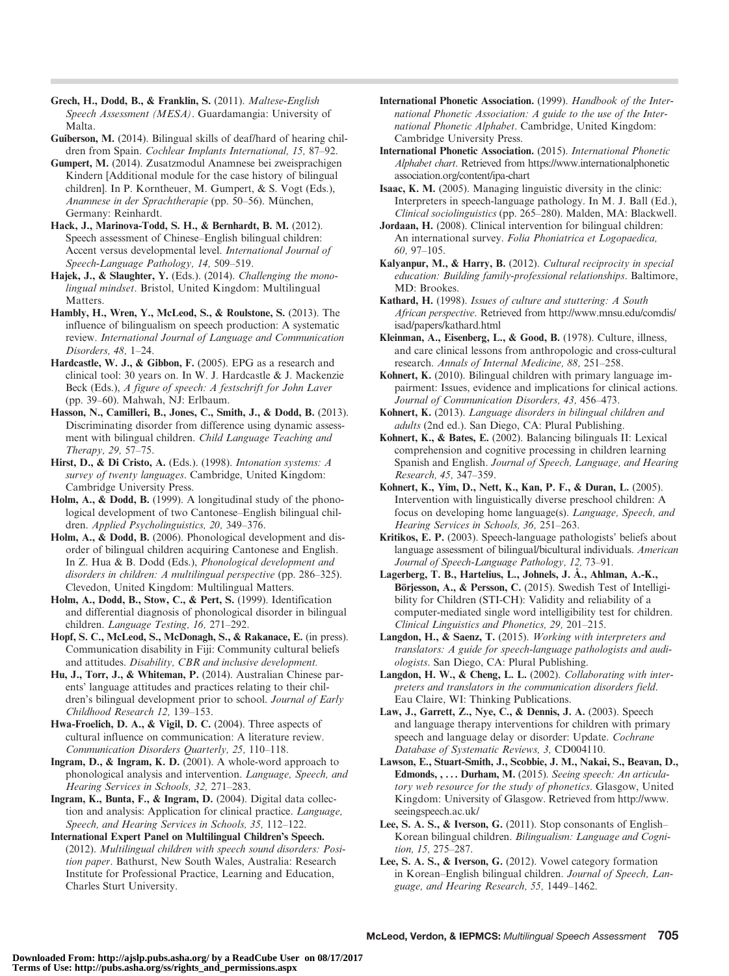Grech, H., Dodd, B., & Franklin, S. (2011). Maltese-English Speech Assessment (MESA). Guardamangia: University of Malta.

Guiberson, M. (2014). Bilingual skills of deaf/hard of hearing children from Spain. Cochlear Implants International, 15, 87–92.

Gumpert, M. (2014). Zusatzmodul Anamnese bei zweisprachigen Kindern [Additional module for the case history of bilingual children]. In P. Korntheuer, M. Gumpert, & S. Vogt (Eds.), Anamnese in der Sprachtherapie (pp. 50–56). München, Germany: Reinhardt.

Hack, J., Marinova-Todd, S. H., & Bernhardt, B. M. (2012). Speech assessment of Chinese–English bilingual children: Accent versus developmental level. International Journal of Speech-Language Pathology, 14, 509–519.

Hajek, J., & Slaughter, Y. (Eds.). (2014). Challenging the monolingual mindset. Bristol, United Kingdom: Multilingual Matters.

Hambly, H., Wren, Y., McLeod, S., & Roulstone, S. (2013). The influence of bilingualism on speech production: A systematic review. International Journal of Language and Communication Disorders, 48, 1–24.

Hardcastle, W. J., & Gibbon, F. (2005). EPG as a research and clinical tool: 30 years on. In W. J. Hardcastle & J. Mackenzie Beck (Eds.), A figure of speech: A festschrift for John Laver (pp. 39–60). Mahwah, NJ: Erlbaum.

Hasson, N., Camilleri, B., Jones, C., Smith, J., & Dodd, B. (2013). Discriminating disorder from difference using dynamic assessment with bilingual children. Child Language Teaching and Therapy, 29, 57–75.

Hirst, D., & Di Cristo, A. (Eds.). (1998). Intonation systems: A survey of twenty languages. Cambridge, United Kingdom: Cambridge University Press.

Holm, A., & Dodd, B. (1999). A longitudinal study of the phonological development of two Cantonese–English bilingual children. Applied Psycholinguistics, 20, 349–376.

Holm, A., & Dodd, B. (2006). Phonological development and disorder of bilingual children acquiring Cantonese and English. In Z. Hua & B. Dodd (Eds.), Phonological development and disorders in children: A multilingual perspective (pp. 286–325). Clevedon, United Kingdom: Multilingual Matters.

Holm, A., Dodd, B., Stow, C., & Pert, S. (1999). Identification and differential diagnosis of phonological disorder in bilingual children. Language Testing, 16, 271–292.

Hopf, S. C., McLeod, S., McDonagh, S., & Rakanace, E. (in press). Communication disability in Fiji: Community cultural beliefs and attitudes. Disability, CBR and inclusive development.

Hu, J., Torr, J., & Whiteman, P. (2014). Australian Chinese parents' language attitudes and practices relating to their children's bilingual development prior to school. Journal of Early Childhood Research 12, 139–153.

Hwa-Froelich, D. A., & Vigil, D. C. (2004). Three aspects of cultural influence on communication: A literature review. Communication Disorders Quarterly, 25, 110–118.

Ingram, D., & Ingram, K. D. (2001). A whole-word approach to phonological analysis and intervention. Language, Speech, and Hearing Services in Schools, 32, 271–283.

Ingram, K., Bunta, F., & Ingram, D. (2004). Digital data collection and analysis: Application for clinical practice. Language, Speech, and Hearing Services in Schools, 35, 112–122.

International Expert Panel on Multilingual Children's Speech. (2012). Multilingual children with speech sound disorders: Position paper. Bathurst, New South Wales, Australia: Research Institute for Professional Practice, Learning and Education, Charles Sturt University.

International Phonetic Association. (1999). Handbook of the International Phonetic Association: A guide to the use of the International Phonetic Alphabet. Cambridge, United Kingdom: Cambridge University Press.

International Phonetic Association. (2015). International Phonetic Alphabet chart. Retrieved from https://www.internationalphonetic association.org/content/ipa-chart

Isaac, K. M. (2005). Managing linguistic diversity in the clinic: Interpreters in speech-language pathology. In M. J. Ball (Ed.), Clinical sociolinguistics (pp. 265–280). Malden, MA: Blackwell.

Jordaan, H. (2008). Clinical intervention for bilingual children: An international survey. Folia Phoniatrica et Logopaedica, 60, 97–105.

Kalyanpur, M., & Harry, B. (2012). Cultural reciprocity in special education: Building family-professional relationships. Baltimore, MD: Brookes.

Kathard, H. (1998). Issues of culture and stuttering: A South African perspective. Retrieved from http://www.mnsu.edu/comdis/ isad/papers/kathard.html

Kleinman, A., Eisenberg, L., & Good, B. (1978). Culture, illness, and care clinical lessons from anthropologic and cross-cultural research. Annals of Internal Medicine, 88, 251–258.

Kohnert, K. (2010). Bilingual children with primary language impairment: Issues, evidence and implications for clinical actions. Journal of Communication Disorders, 43, 456–473.

Kohnert, K. (2013). Language disorders in bilingual children and adults (2nd ed.). San Diego, CA: Plural Publishing.

Kohnert, K., & Bates, E. (2002). Balancing bilinguals II: Lexical comprehension and cognitive processing in children learning Spanish and English. Journal of Speech, Language, and Hearing Research, 45, 347–359.

Kohnert, K., Yim, D., Nett, K., Kan, P. F., & Duran, L. (2005). Intervention with linguistically diverse preschool children: A focus on developing home language(s). Language, Speech, and Hearing Services in Schools, 36, 251–263.

Kritikos, E. P. (2003). Speech-language pathologists' beliefs about language assessment of bilingual/bicultural individuals. American Journal of Speech-Language Pathology, 12, 73–91.

Lagerberg, T. B., Hartelius, L., Johnels, J. Å., Ahlman, A.-K., Börjesson, A., & Persson, C. (2015). Swedish Test of Intelligibility for Children (STI-CH): Validity and reliability of a computer-mediated single word intelligibility test for children. Clinical Linguistics and Phonetics, 29, 201–215.

Langdon, H., & Saenz, T. (2015). Working with interpreters and translators: A guide for speech-language pathologists and audiologists. San Diego, CA: Plural Publishing.

Langdon, H. W., & Cheng, L. L. (2002). Collaborating with interpreters and translators in the communication disorders field. Eau Claire, WI: Thinking Publications.

Law, J., Garrett, Z., Nye, C., & Dennis, J. A. (2003). Speech and language therapy interventions for children with primary speech and language delay or disorder: Update. Cochrane Database of Systematic Reviews, 3, CD004110.

Lawson, E., Stuart-Smith, J., Scobbie, J. M., Nakai, S., Beavan, D., Edmonds, , ... Durham, M. (2015). Seeing speech: An articulatory web resource for the study of phonetics. Glasgow, United Kingdom: University of Glasgow. Retrieved from http://www. seeingspeech.ac.uk/

Lee, S. A. S., & Iverson, G. (2011). Stop consonants of English– Korean bilingual children. Bilingualism: Language and Cognition, 15, 275–287.

Lee, S. A. S., & Iverson, G. (2012). Vowel category formation in Korean–English bilingual children. Journal of Speech, Language, and Hearing Research, 55, 1449–1462.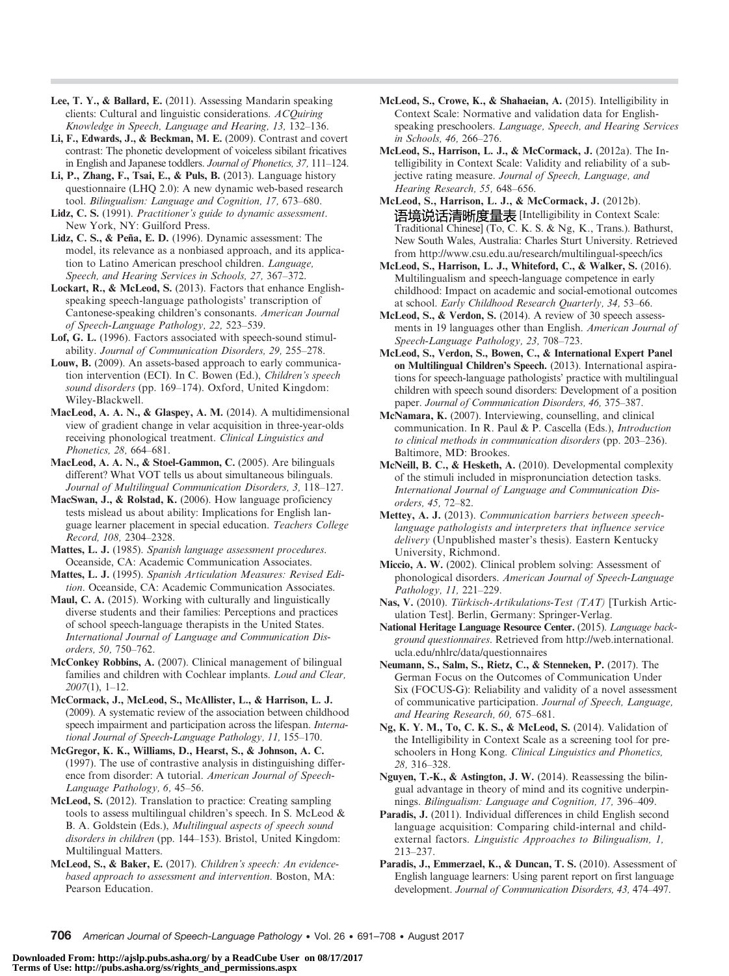Lee, T. Y., & Ballard, E. (2011). Assessing Mandarin speaking clients: Cultural and linguistic considerations. ACQuiring Knowledge in Speech, Language and Hearing, 13, 132–136.

Li, F., Edwards, J., & Beckman, M. E. (2009). Contrast and covert contrast: The phonetic development of voiceless sibilant fricatives in English and Japanese toddlers. Journal of Phonetics, 37, 111–124.

Li, P., Zhang, F., Tsai, E., & Puls, B. (2013). Language history questionnaire (LHQ 2.0): A new dynamic web-based research tool. Bilingualism: Language and Cognition, 17, 673–680.

Lidz, C. S. (1991). Practitioner's guide to dynamic assessment. New York, NY: Guilford Press.

Lidz, C. S., & Peña, E. D. (1996). Dynamic assessment: The model, its relevance as a nonbiased approach, and its application to Latino American preschool children. Language, Speech, and Hearing Services in Schools, 27, 367–372.

Lockart, R., & McLeod, S. (2013). Factors that enhance Englishspeaking speech-language pathologists' transcription of Cantonese-speaking children's consonants. American Journal of Speech-Language Pathology, 22, 523–539.

Lof, G. L. (1996). Factors associated with speech-sound stimulability. Journal of Communication Disorders, 29, 255–278.

Louw, B. (2009). An assets-based approach to early communication intervention (ECI). In C. Bowen (Ed.), Children's speech sound disorders (pp. 169-174). Oxford, United Kingdom: Wiley-Blackwell.

MacLeod, A. A. N., & Glaspey, A. M. (2014). A multidimensional view of gradient change in velar acquisition in three-year-olds receiving phonological treatment. Clinical Linguistics and Phonetics, 28, 664–681.

MacLeod, A. A. N., & Stoel-Gammon, C. (2005). Are bilinguals different? What VOT tells us about simultaneous bilinguals. Journal of Multilingual Communication Disorders, 3, 118–127.

MacSwan, J., & Rolstad, K. (2006). How language proficiency tests mislead us about ability: Implications for English language learner placement in special education. Teachers College Record, 108, 2304–2328.

Mattes, L. J. (1985). Spanish language assessment procedures. Oceanside, CA: Academic Communication Associates.

Mattes, L. J. (1995). Spanish Articulation Measures: Revised Edition. Oceanside, CA: Academic Communication Associates.

Maul, C. A. (2015). Working with culturally and linguistically diverse students and their families: Perceptions and practices of school speech-language therapists in the United States. International Journal of Language and Communication Disorders, 50, 750–762.

McConkey Robbins, A. (2007). Clinical management of bilingual families and children with Cochlear implants. Loud and Clear, 2007(1), 1–12.

McCormack, J., McLeod, S., McAllister, L., & Harrison, L. J. (2009). A systematic review of the association between childhood speech impairment and participation across the lifespan. International Journal of Speech-Language Pathology, 11, 155–170.

McGregor, K. K., Williams, D., Hearst, S., & Johnson, A. C. (1997). The use of contrastive analysis in distinguishing difference from disorder: A tutorial. American Journal of Speech-Language Pathology, 6, 45–56.

McLeod, S. (2012). Translation to practice: Creating sampling tools to assess multilingual children's speech. In S. McLeod & B. A. Goldstein (Eds.), Multilingual aspects of speech sound disorders in children (pp. 144–153). Bristol, United Kingdom: Multilingual Matters.

McLeod, S., & Baker, E. (2017). Children's speech: An evidencebased approach to assessment and intervention. Boston, MA: Pearson Education.

McLeod, S., Crowe, K., & Shahaeian, A. (2015). Intelligibility in Context Scale: Normative and validation data for Englishspeaking preschoolers. Language, Speech, and Hearing Services in Schools, 46, 266–276.

McLeod, S., Harrison, L. J., & McCormack, J. (2012a). The Intelligibility in Context Scale: Validity and reliability of a subjective rating measure. Journal of Speech, Language, and Hearing Research, 55, 648–656.

McLeod, S., Harrison, L. J., & McCormack, J. (2012b). 语境说话清晰度量表 [Intelligibility in Context Scale: Traditional Chinese] (To, C. K. S. & Ng, K., Trans.). Bathurst, New South Wales, Australia: Charles Sturt University. Retrieved from http://www.csu.edu.au/research/multilingual-speech/ics

McLeod, S., Harrison, L. J., Whiteford, C., & Walker, S. (2016). Multilingualism and speech-language competence in early childhood: Impact on academic and social-emotional outcomes at school. Early Childhood Research Quarterly, 34, 53–66.

McLeod, S., & Verdon, S. (2014). A review of 30 speech assessments in 19 languages other than English. American Journal of Speech-Language Pathology, 23, 708–723.

McLeod, S., Verdon, S., Bowen, C., & International Expert Panel on Multilingual Children's Speech. (2013). International aspirations for speech-language pathologists' practice with multilingual children with speech sound disorders: Development of a position paper. Journal of Communication Disorders, 46, 375–387.

McNamara, K. (2007). Interviewing, counselling, and clinical communication. In R. Paul & P. Cascella (Eds.), Introduction to clinical methods in communication disorders (pp. 203–236). Baltimore, MD: Brookes.

McNeill, B. C., & Hesketh, A. (2010). Developmental complexity of the stimuli included in mispronunciation detection tasks. International Journal of Language and Communication Disorders, 45, 72–82.

Mettey, A. J. (2013). Communication barriers between speechlanguage pathologists and interpreters that influence service delivery (Unpublished master's thesis). Eastern Kentucky University, Richmond.

Miccio, A. W. (2002). Clinical problem solving: Assessment of phonological disorders. American Journal of Speech-Language Pathology, 11, 221–229.

Nas, V. (2010). Türkisch-Artikulations-Test (TAT) [Turkish Articulation Test]. Berlin, Germany: Springer-Verlag.

National Heritage Language Resource Center. (2015). Language background questionnaires. Retrieved from http://web.international. ucla.edu/nhlrc/data/questionnaires

Neumann, S., Salm, S., Rietz, C., & Stenneken, P. (2017). The German Focus on the Outcomes of Communication Under Six (FOCUS-G): Reliability and validity of a novel assessment of communicative participation. Journal of Speech, Language, and Hearing Research, 60, 675–681.

Ng, K. Y. M., To, C. K. S., & McLeod, S. (2014). Validation of the Intelligibility in Context Scale as a screening tool for preschoolers in Hong Kong. Clinical Linguistics and Phonetics, 28, 316–328.

Nguyen, T.-K., & Astington, J. W. (2014). Reassessing the bilingual advantage in theory of mind and its cognitive underpinnings. Bilingualism: Language and Cognition, 17, 396–409.

Paradis, J. (2011). Individual differences in child English second language acquisition: Comparing child-internal and childexternal factors. Linguistic Approaches to Bilingualism, 1, 213–237.

Paradis, J., Emmerzael, K., & Duncan, T. S. (2010). Assessment of English language learners: Using parent report on first language development. Journal of Communication Disorders, 43, 474–497.

<sup>706</sup> American Journal of Speech-Language Pathology • Vol. 26 • <sup>691</sup>–<sup>708</sup> • August 2017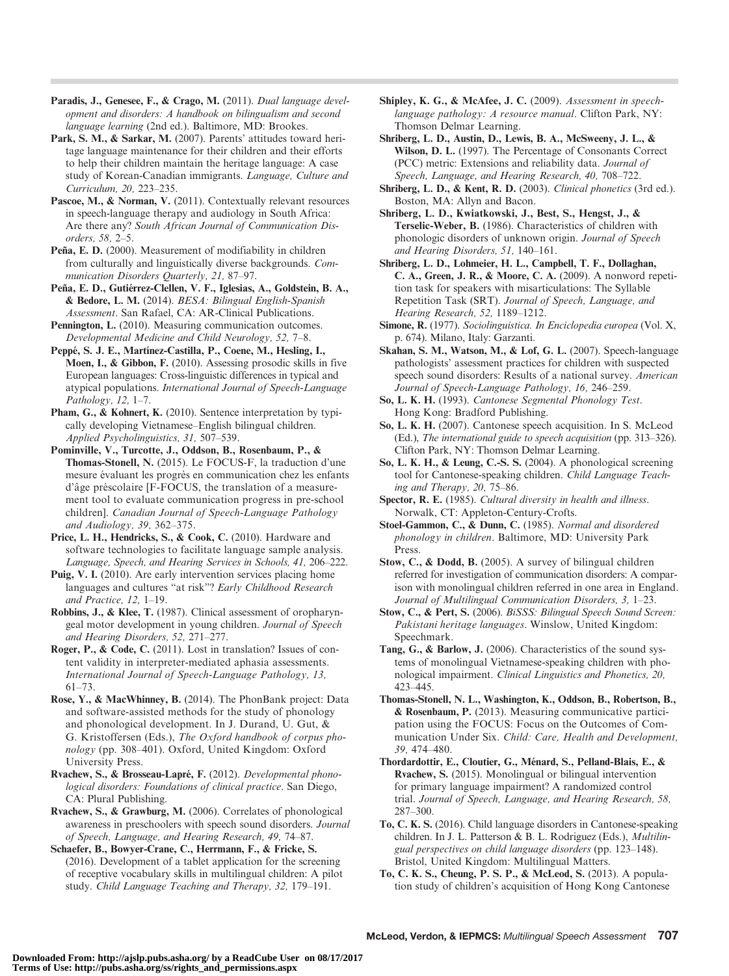Paradis, J., Genesee, F., & Crago, M. (2011). Dual language development and disorders: A handbook on bilingualism and second language learning (2nd ed.). Baltimore, MD: Brookes.

Park, S. M., & Sarkar, M. (2007). Parents' attitudes toward heritage language maintenance for their children and their efforts to help their children maintain the heritage language: A case study of Korean-Canadian immigrants. Language, Culture and Curriculum, 20, 223–235.

Pascoe, M., & Norman, V. (2011). Contextually relevant resources in speech-language therapy and audiology in South Africa: Are there any? South African Journal of Communication Disorders, 58, 2–5.

Peña, E. D. (2000). Measurement of modifiability in children from culturally and linguistically diverse backgrounds. Communication Disorders Quarterly, 21, 87–97.

Peña, E. D., Gutiérrez-Clellen, V. F., Iglesias, A., Goldstein, B. A., & Bedore, L. M. (2014). BESA: Bilingual English-Spanish Assessment. San Rafael, CA: AR-Clinical Publications.

Pennington, L. (2010). Measuring communication outcomes. Developmental Medicine and Child Neurology, 52, 7–8.

Peppé, S. J. E., Martínez-Castilla, P., Coene, M., Hesling, I., Moen, I., & Gibbon, F. (2010). Assessing prosodic skills in five European languages: Cross-linguistic differences in typical and atypical populations. International Journal of Speech-Language Pathology, 12, 1–7.

Pham, G., & Kohnert, K. (2010). Sentence interpretation by typically developing Vietnamese–English bilingual children. Applied Psycholinguistics, 31, 507–539.

Pominville, V., Turcotte, J., Oddson, B., Rosenbaum, P., & Thomas-Stonell, N. (2015). Le FOCUS-F, la traduction d'une mesure évaluant les progrès en communication chez les enfants d'âge préscolaire [F-FOCUS, the translation of a measurement tool to evaluate communication progress in pre-school children]. Canadian Journal of Speech-Language Pathology and Audiology, 39, 362–375.

Price, L. H., Hendricks, S., & Cook, C. (2010). Hardware and software technologies to facilitate language sample analysis. Language, Speech, and Hearing Services in Schools, 41, 206–222.

Puig, V. I. (2010). Are early intervention services placing home languages and cultures "at risk"? Early Childhood Research and Practice, 12, 1–19.

Robbins, J., & Klee, T. (1987). Clinical assessment of oropharyngeal motor development in young children. Journal of Speech and Hearing Disorders, 52, 271–277.

Roger, P., & Code, C. (2011). Lost in translation? Issues of content validity in interpreter-mediated aphasia assessments. International Journal of Speech-Language Pathology, 13, 61–73.

Rose, Y., & MacWhinney, B. (2014). The PhonBank project: Data and software-assisted methods for the study of phonology and phonological development. In J. Durand, U. Gut, & G. Kristoffersen (Eds.), The Oxford handbook of corpus phonology (pp. 308–401). Oxford, United Kingdom: Oxford University Press.

Rvachew, S., & Brosseau-Lapré, F. (2012). Developmental phonological disorders: Foundations of clinical practice. San Diego, CA: Plural Publishing.

Rvachew, S., & Grawburg, M. (2006). Correlates of phonological awareness in preschoolers with speech sound disorders. Journal of Speech, Language, and Hearing Research, 49, 74–87.

Schaefer, B., Bowyer-Crane, C., Herrmann, F., & Fricke, S. (2016). Development of a tablet application for the screening of receptive vocabulary skills in multilingual children: A pilot study. Child Language Teaching and Therapy, 32, 179–191.

Shipley, K. G., & McAfee, J. C. (2009). Assessment in speechlanguage pathology: A resource manual. Clifton Park, NY: Thomson Delmar Learning.

Shriberg, L. D., Austin, D., Lewis, B. A., McSweeny, J. L., & Wilson, D. L. (1997). The Percentage of Consonants Correct (PCC) metric: Extensions and reliability data. Journal of Speech, Language, and Hearing Research, 40, 708–722.

Shriberg, L. D., & Kent, R. D. (2003). Clinical phonetics (3rd ed.). Boston, MA: Allyn and Bacon.

Shriberg, L. D., Kwiatkowski, J., Best, S., Hengst, J., & Terselic-Weber, B. (1986). Characteristics of children with phonologic disorders of unknown origin. Journal of Speech and Hearing Disorders, 51, 140–161.

Shriberg, L. D., Lohmeier, H. L., Campbell, T. F., Dollaghan, C. A., Green, J. R., & Moore, C. A. (2009). A nonword repetition task for speakers with misarticulations: The Syllable Repetition Task (SRT). Journal of Speech, Language, and Hearing Research, 52, 1189–1212.

Simone, R. (1977). Sociolinguistica. In Enciclopedia europea (Vol. X, p. 674). Milano, Italy: Garzanti.

Skahan, S. M., Watson, M., & Lof, G. L. (2007). Speech-language pathologists' assessment practices for children with suspected speech sound disorders: Results of a national survey. American Journal of Speech-Language Pathology, 16, 246–259.

So, L. K. H. (1993). Cantonese Segmental Phonology Test. Hong Kong: Bradford Publishing.

So, L. K. H. (2007). Cantonese speech acquisition. In S. McLeod (Ed.), The international guide to speech acquisition (pp. 313–326). Clifton Park, NY: Thomson Delmar Learning.

So, L. K. H., & Leung, C.-S. S. (2004). A phonological screening tool for Cantonese-speaking children. Child Language Teaching and Therapy, 20, 75–86.

Spector, R. E. (1985). Cultural diversity in health and illness. Norwalk, CT: Appleton-Century-Crofts.

Stoel-Gammon, C., & Dunn, C. (1985). Normal and disordered phonology in children. Baltimore, MD: University Park Press.

Stow, C., & Dodd, B. (2005). A survey of bilingual children referred for investigation of communication disorders: A comparison with monolingual children referred in one area in England. Journal of Multilingual Communication Disorders, 3, 1–23.

Stow, C., & Pert, S. (2006). BiSSS: Bilingual Speech Sound Screen: Pakistani heritage languages. Winslow, United Kingdom: Speechmark.

Tang, G., & Barlow, J. (2006). Characteristics of the sound systems of monolingual Vietnamese-speaking children with phonological impairment. Clinical Linguistics and Phonetics, 20, 423–445.

Thomas-Stonell, N. L., Washington, K., Oddson, B., Robertson, B., & Rosenbaum, P. (2013). Measuring communicative participation using the FOCUS: Focus on the Outcomes of Communication Under Six. Child: Care, Health and Development, 39, 474–480.

Thordardottir, E., Cloutier, G., Ménard, S., Pelland-Blais, E., & Rvachew, S. (2015). Monolingual or bilingual intervention for primary language impairment? A randomized control trial. Journal of Speech, Language, and Hearing Research, 58, 287–300.

To, C. K. S. (2016). Child language disorders in Cantonese-speaking children. In J. L. Patterson & B. L. Rodriguez (Eds.), Multilingual perspectives on child language disorders (pp. 123–148). Bristol, United Kingdom: Multilingual Matters.

To, C. K. S., Cheung, P. S. P., & McLeod, S. (2013). A population study of children's acquisition of Hong Kong Cantonese